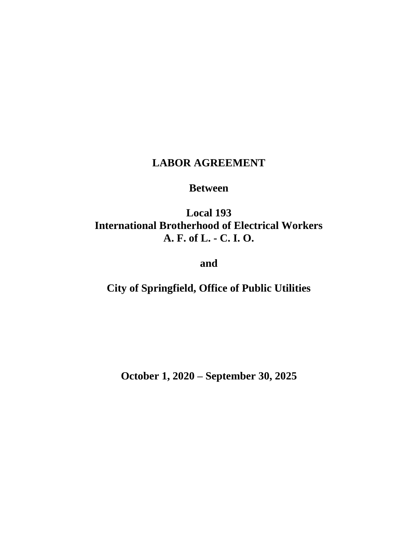# **LABOR AGREEMENT**

## **Between**

# **Local 193 International Brotherhood of Electrical Workers A. F. of L. - C. I. O.**

**and**

**City of Springfield, Office of Public Utilities**

**October 1, 2020 – September 30, 2025**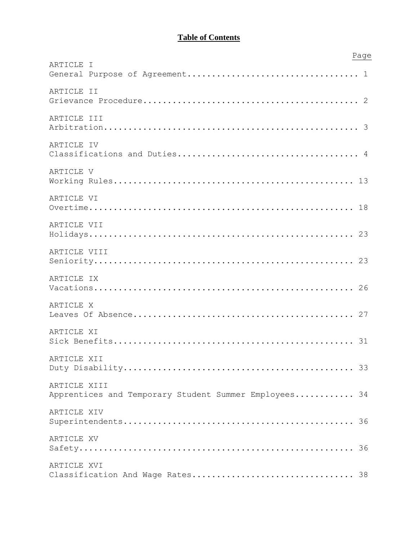## **Table of Contents**

|                                                       | Page |
|-------------------------------------------------------|------|
| ARTICLE I                                             |      |
|                                                       |      |
| ARTICLE II                                            |      |
|                                                       |      |
| ARTICLE III                                           |      |
|                                                       |      |
| ARTICLE IV                                            |      |
|                                                       |      |
| ARTICLE V                                             |      |
|                                                       |      |
| ARTICLE VI                                            |      |
|                                                       |      |
| ARTICLE VII                                           |      |
|                                                       |      |
| ARTICLE VIII                                          |      |
|                                                       |      |
| ARTICLE IX                                            |      |
|                                                       |      |
| ARTICLE X                                             |      |
|                                                       |      |
| ARTICLE XI                                            |      |
|                                                       |      |
| ARTICLE XII                                           |      |
|                                                       |      |
| ARTICLE XIII                                          |      |
| Apprentices and Temporary Student Summer Employees 34 |      |
| ARTICLE XIV                                           |      |
|                                                       |      |
| ARTICLE XV                                            |      |
|                                                       |      |
| ARTICLE XVI                                           |      |
| Classification And Wage Rates 38                      |      |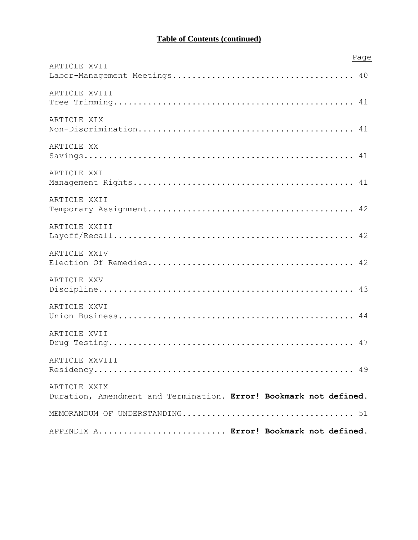# **Table of Contents (continued)**

|                                                                   | Page |
|-------------------------------------------------------------------|------|
| ARTICLE XVII                                                      |      |
|                                                                   |      |
| ARTICLE XVIII                                                     |      |
|                                                                   |      |
| ARTICLE XIX                                                       |      |
|                                                                   |      |
| ARTICLE XX                                                        |      |
|                                                                   |      |
|                                                                   |      |
| ARTICLE XXI                                                       |      |
|                                                                   |      |
| ARTICLE XXII                                                      |      |
|                                                                   |      |
| ARTICLE XXIII                                                     |      |
|                                                                   |      |
|                                                                   |      |
| ARTICLE XXIV                                                      |      |
|                                                                   |      |
| ARTICLE XXV                                                       |      |
|                                                                   |      |
| ARTICLE XXVI                                                      |      |
|                                                                   |      |
|                                                                   |      |
| ARTICLE XVII                                                      |      |
|                                                                   |      |
| ARTICLE XXVIII                                                    |      |
|                                                                   |      |
| ARTICLE XXIX                                                      |      |
| Duration, Amendment and Termination. Error! Bookmark not defined. |      |
|                                                                   |      |
|                                                                   |      |
| APPENDIX A Error! Bookmark not defined.                           |      |
|                                                                   |      |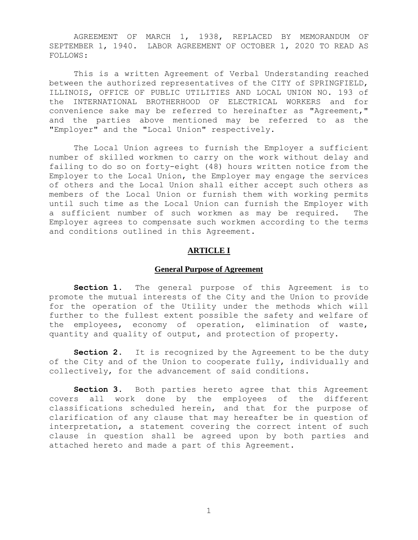AGREEMENT OF MARCH 1, 1938, REPLACED BY MEMORANDUM OF SEPTEMBER 1, 1940. LABOR AGREEMENT OF OCTOBER 1, 2020 TO READ AS FOLLOWS:

This is a written Agreement of Verbal Understanding reached between the authorized representatives of the CITY of SPRINGFIELD, ILLINOIS, OFFICE OF PUBLIC UTILITIES AND LOCAL UNION NO. 193 of the INTERNATIONAL BROTHERHOOD OF ELECTRICAL WORKERS and for convenience sake may be referred to hereinafter as "Agreement," and the parties above mentioned may be referred to as the "Employer" and the "Local Union" respectively.

The Local Union agrees to furnish the Employer a sufficient number of skilled workmen to carry on the work without delay and failing to do so on forty-eight (48) hours written notice from the Employer to the Local Union, the Employer may engage the services of others and the Local Union shall either accept such others as members of the Local Union or furnish them with working permits until such time as the Local Union can furnish the Employer with a sufficient number of such workmen as may be required. The Employer agrees to compensate such workmen according to the terms and conditions outlined in this Agreement.

## **ARTICLE I**

#### **General Purpose of Agreement**

<span id="page-3-0"></span>Section 1. The general purpose of this Agreement is to promote the mutual interests of the City and the Union to provide for the operation of the Utility under the methods which will further to the fullest extent possible the safety and welfare of the employees, economy of operation, elimination of waste, quantity and quality of output, and protection of property.

**Section 2.** It is recognized by the Agreement to be the duty of the City and of the Union to cooperate fully, individually and collectively, for the advancement of said conditions.

**Section 3.** Both parties hereto agree that this Agreement covers all work done by the employees of the different classifications scheduled herein, and that for the purpose of clarification of any clause that may hereafter be in question of interpretation, a statement covering the correct intent of such clause in question shall be agreed upon by both parties and attached hereto and made a part of this Agreement.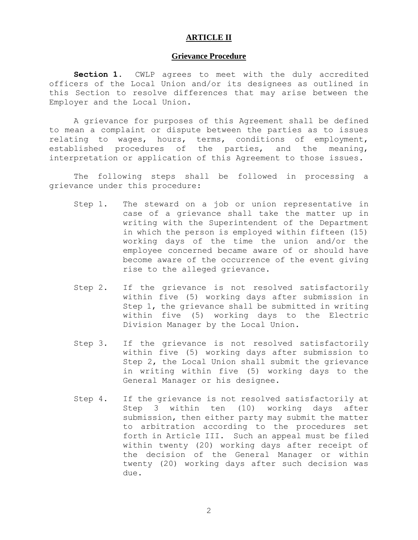## **ARTICLE II**

## **Grievance Procedure**

<span id="page-4-0"></span>**Section 1.** CWLP agrees to meet with the duly accredited officers of the Local Union and/or its designees as outlined in this Section to resolve differences that may arise between the Employer and the Local Union.

A grievance for purposes of this Agreement shall be defined to mean a complaint or dispute between the parties as to issues relating to wages, hours, terms, conditions of employment, established procedures of the parties, and the meaning, interpretation or application of this Agreement to those issues.

The following steps shall be followed in processing a grievance under this procedure:

- Step 1. The steward on a job or union representative in case of a grievance shall take the matter up in writing with the Superintendent of the Department in which the person is employed within fifteen (15) working days of the time the union and/or the employee concerned became aware of or should have become aware of the occurrence of the event giving rise to the alleged grievance.
- Step 2. If the grievance is not resolved satisfactorily within five (5) working days after submission in Step 1, the grievance shall be submitted in writing within five (5) working days to the Electric Division Manager by the Local Union.
- Step 3. If the grievance is not resolved satisfactorily within five (5) working days after submission to Step 2, the Local Union shall submit the grievance in writing within five (5) working days to the General Manager or his designee.
- Step 4. If the grievance is not resolved satisfactorily at Step 3 within ten (10) working days after submission, then either party may submit the matter to arbitration according to the procedures set forth in Article III. Such an appeal must be filed within twenty (20) working days after receipt of the decision of the General Manager or within twenty (20) working days after such decision was due.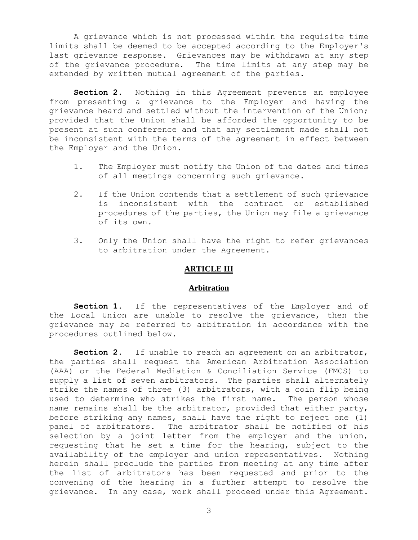A grievance which is not processed within the requisite time limits shall be deemed to be accepted according to the Employer's last grievance response. Grievances may be withdrawn at any step of the grievance procedure. The time limits at any step may be extended by written mutual agreement of the parties.

**Section 2.** Nothing in this Agreement prevents an employee from presenting a grievance to the Employer and having the grievance heard and settled without the intervention of the Union; provided that the Union shall be afforded the opportunity to be present at such conference and that any settlement made shall not be inconsistent with the terms of the agreement in effect between the Employer and the Union.

- 1. The Employer must notify the Union of the dates and times of all meetings concerning such grievance.
- 2. If the Union contends that a settlement of such grievance is inconsistent with the contract or established procedures of the parties, the Union may file a grievance of its own.
- 3. Only the Union shall have the right to refer grievances to arbitration under the Agreement.

## **ARTICLE III**

#### **Arbitration**

<span id="page-5-0"></span>Section 1. If the representatives of the Employer and of the Local Union are unable to resolve the grievance, then the grievance may be referred to arbitration in accordance with the procedures outlined below.

Section 2. If unable to reach an agreement on an arbitrator, the parties shall request the American Arbitration Association (AAA) or the Federal Mediation & Conciliation Service (FMCS) to supply a list of seven arbitrators. The parties shall alternately strike the names of three (3) arbitrators, with a coin flip being used to determine who strikes the first name. The person whose name remains shall be the arbitrator, provided that either party, before striking any names, shall have the right to reject one (1) panel of arbitrators. The arbitrator shall be notified of his selection by a joint letter from the employer and the union, requesting that he set a time for the hearing, subject to the availability of the employer and union representatives. Nothing herein shall preclude the parties from meeting at any time after the list of arbitrators has been requested and prior to the convening of the hearing in a further attempt to resolve the grievance. In any case, work shall proceed under this Agreement.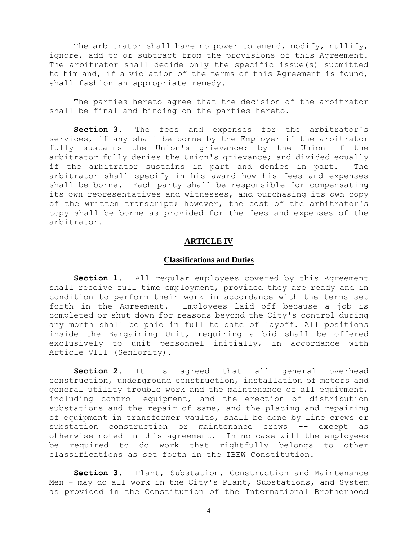The arbitrator shall have no power to amend, modify, nullify, ignore, add to or subtract from the provisions of this Agreement. The arbitrator shall decide only the specific issue(s) submitted to him and, if a violation of the terms of this Agreement is found, shall fashion an appropriate remedy.

The parties hereto agree that the decision of the arbitrator shall be final and binding on the parties hereto.

**Section 3.** The fees and expenses for the arbitrator's services, if any shall be borne by the Employer if the arbitrator fully sustains the Union's grievance; by the Union if the arbitrator fully denies the Union's grievance; and divided equally if the arbitrator sustains in part and denies in part. The arbitrator shall specify in his award how his fees and expenses shall be borne. Each party shall be responsible for compensating its own representatives and witnesses, and purchasing its own copy of the written transcript; however, the cost of the arbitrator's copy shall be borne as provided for the fees and expenses of the arbitrator.

## **ARTICLE IV**

#### **Classifications and Duties**

<span id="page-6-0"></span>Section 1. All reqular employees covered by this Agreement shall receive full time employment, provided they are ready and in condition to perform their work in accordance with the terms set forth in the Agreement. Employees laid off because a job is completed or shut down for reasons beyond the City's control during any month shall be paid in full to date of layoff. All positions inside the Bargaining Unit, requiring a bid shall be offered exclusively to unit personnel initially, in accordance with Article VIII (Seniority).

**Section 2.** It is agreed that all general overhead construction, underground construction, installation of meters and general utility trouble work and the maintenance of all equipment, including control equipment, and the erection of distribution substations and the repair of same, and the placing and repairing of equipment in transformer vaults, shall be done by line crews or substation construction or maintenance crews -- except as otherwise noted in this agreement. In no case will the employees be required to do work that rightfully belongs to other classifications as set forth in the IBEW Constitution.

**Section 3.** Plant, Substation, Construction and Maintenance Men - may do all work in the City's Plant, Substations, and System as provided in the Constitution of the International Brotherhood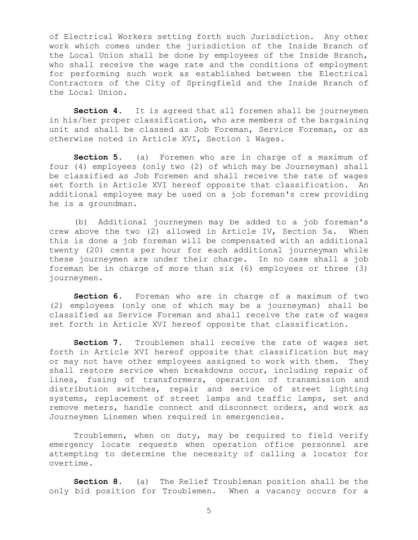of Electrical Workers setting forth such Jurisdiction. Any other work which comes under the jurisdiction of the Inside Branch of the Local Union shall be done by employees of the Inside Branch, who shall receive the wage rate and the conditions of employment for performing such work as established between the Electrical Contractors of the City of Springfield and the Inside Branch of the Local Union.

**Section 4.** It is agreed that all foremen shall be journeymen in his/her proper classification, who are members of the bargaining unit and shall be classed as Job Foreman, Service Foreman, or as otherwise noted in Article XVI, Section 1 Wages.

**Section 5.** (a) Foremen who are in charge of a maximum of four (4) employees (only two (2) of which may be Journeyman) shall be classified as Job Foremen and shall receive the rate of wages set forth in Article XVI hereof opposite that classification. An additional employee may be used on a job foreman's crew providing he is a groundman.

(b) Additional journeymen may be added to a job foreman's crew above the two (2) allowed in Article IV, Section 5a. When this is done a job foreman will be compensated with an additional twenty (20) cents per hour for each additional journeyman while these journeymen are under their charge. In no case shall a job foreman be in charge of more than six (6) employees or three (3) journeymen.

**Section 6.** Foreman who are in charge of a maximum of two (2) employees (only one of which may be a journeyman) shall be classified as Service Foreman and shall receive the rate of wages set forth in Article XVI hereof opposite that classification.

**Section 7**. Troublemen shall receive the rate of wages set forth in Article XVI hereof opposite that classification but may or may not have other employees assigned to work with them. They shall restore service when breakdowns occur, including repair of lines, fusing of transformers, operation of transmission and distribution switches, repair and service of street lighting systems, replacement of street lamps and traffic lamps, set and remove meters, handle connect and disconnect orders, and work as Journeymen Linemen when required in emergencies.

Troublemen, when on duty, may be required to field verify emergency locate requests when operation office personnel are attempting to determine the necessity of calling a locator for overtime.

**Section 8.** (a) The Relief Troubleman position shall be the only bid position for Troublemen. When a vacancy occurs for a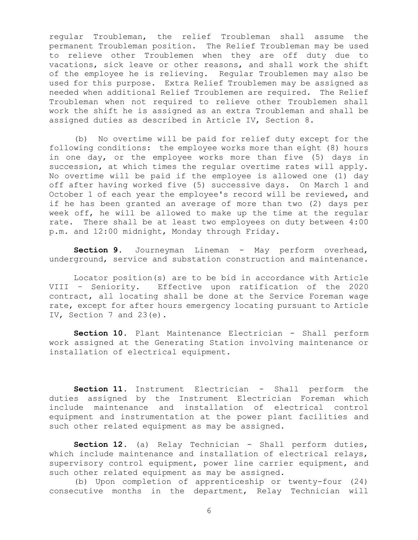regular Troubleman, the relief Troubleman shall assume the permanent Troubleman position. The Relief Troubleman may be used to relieve other Troublemen when they are off duty due to vacations, sick leave or other reasons, and shall work the shift of the employee he is relieving. Regular Troublemen may also be used for this purpose. Extra Relief Troublemen may be assigned as needed when additional Relief Troublemen are required. The Relief Troubleman when not required to relieve other Troublemen shall work the shift he is assigned as an extra Troubleman and shall be assigned duties as described in Article IV, Section 8.

(b) No overtime will be paid for relief duty except for the following conditions: the employee works more than eight (8) hours in one day, or the employee works more than five (5) days in succession, at which times the regular overtime rates will apply. No overtime will be paid if the employee is allowed one (1) day off after having worked five (5) successive days. On March 1 and October 1 of each year the employee's record will be reviewed, and if he has been granted an average of more than two (2) days per week off, he will be allowed to make up the time at the regular rate. There shall be at least two employees on duty between 4:00 p.m. and 12:00 midnight, Monday through Friday.

**Section 9.** Journeyman Lineman - May perform overhead, underground, service and substation construction and maintenance.

Locator position(s) are to be bid in accordance with Article VIII – Seniority. Effective upon ratification of the 2020 contract, all locating shall be done at the Service Foreman wage rate, except for after hours emergency locating pursuant to Article IV, Section 7 and 23(e).

**Section 10.** Plant Maintenance Electrician - Shall perform work assigned at the Generating Station involving maintenance or installation of electrical equipment.

**Section 11.** Instrument Electrician - Shall perform the duties assigned by the Instrument Electrician Foreman which include maintenance and installation of electrical control equipment and instrumentation at the power plant facilities and such other related equipment as may be assigned.

**Section 12.** (a) Relay Technician - Shall perform duties, which include maintenance and installation of electrical relays, supervisory control equipment, power line carrier equipment, and such other related equipment as may be assigned.

(b) Upon completion of apprenticeship or twenty-four (24) consecutive months in the department, Relay Technician will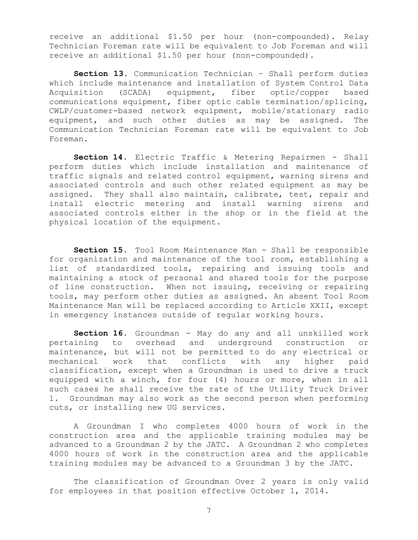receive an additional \$1.50 per hour (non-compounded). Relay Technician Foreman rate will be equivalent to Job Foreman and will receive an additional \$1.50 per hour (non-compounded).

**Section 13.** Communication Technician – Shall perform duties which include maintenance and installation of System Control Data Acquisition (SCADA) equipment, fiber optic/copper based communications equipment, fiber optic cable termination/splicing, CWLP/customer-based network equipment, mobile/stationary radio equipment, and such other duties as may be assigned. The Communication Technician Foreman rate will be equivalent to Job Foreman.

**Section 14.** Electric Traffic & Metering Repairmen - Shall perform duties which include installation and maintenance of traffic signals and related control equipment, warning sirens and associated controls and such other related equipment as may be assigned. They shall also maintain, calibrate, test, repair and install electric metering and install warning sirens and associated controls either in the shop or in the field at the physical location of the equipment.

**Section 15.** Tool Room Maintenance Man - Shall be responsible for organization and maintenance of the tool room, establishing a list of standardized tools, repairing and issuing tools and maintaining a stock of personal and shared tools for the purpose of line construction. When not issuing, receiving or repairing tools, may perform other duties as assigned. An absent Tool Room Maintenance Man will be replaced according to Article XXII, except in emergency instances outside of regular working hours.

**Section 16.** Groundman - May do any and all unskilled work pertaining to overhead and underground construction or maintenance, but will not be permitted to do any electrical or mechanical work that conflicts with any higher paid classification, except when a Groundman is used to drive a truck equipped with a winch, for four (4) hours or more, when in all such cases he shall receive the rate of the Utility Truck Driver 1. Groundman may also work as the second person when performing cuts, or installing new UG services.

A Groundman I who completes 4000 hours of work in the construction area and the applicable training modules may be advanced to a Groundman 2 by the JATC. A Groundman 2 who completes 4000 hours of work in the construction area and the applicable training modules may be advanced to a Groundman 3 by the JATC.

The classification of Groundman Over 2 years is only valid for employees in that position effective October 1, 2014.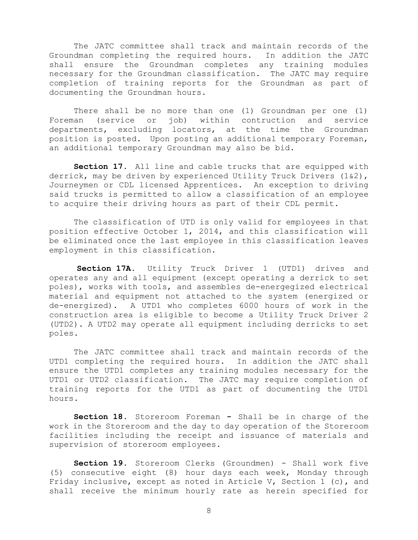The JATC committee shall track and maintain records of the Groundman completing the required hours. In addition the JATC shall ensure the Groundman completes any training modules necessary for the Groundman classification. The JATC may require completion of training reports for the Groundman as part of documenting the Groundman hours.

There shall be no more than one (1) Groundman per one (1) Foreman (service or job) within contruction and service departments, excluding locators, at the time the Groundman position is posted. Upon posting an additional temporary Foreman, an additional temporary Groundman may also be bid.

**Section 17.** All line and cable trucks that are equipped with derrick, may be driven by experienced Utility Truck Drivers (1&2), Journeymen or CDL licensed Apprentices. An exception to driving said trucks is permitted to allow a classification of an employee to acquire their driving hours as part of their CDL permit.

The classification of UTD is only valid for employees in that position effective October 1, 2014, and this classification will be eliminated once the last employee in this classification leaves employment in this classification.

**Section 17A.** Utility Truck Driver 1 (UTD1) drives and operates any and all equipment (except operating a derrick to set poles), works with tools, and assembles de-energegized electrical material and equipment not attached to the system (energized or de-energized). A UTD1 who completes 6000 hours of work in the construction area is eligible to become a Utility Truck Driver 2 (UTD2). A UTD2 may operate all equipment including derricks to set poles.

The JATC committee shall track and maintain records of the UTD1 completing the required hours. In addition the JATC shall ensure the UTD1 completes any training modules necessary for the UTD1 or UTD2 classification. The JATC may require completion of training reports for the UTD1 as part of documenting the UTD1 hours.

**Section 18.** Storeroom Foreman **-** Shall be in charge of the work in the Storeroom and the day to day operation of the Storeroom facilities including the receipt and issuance of materials and supervision of storeroom employees.

**Section 19.** Storeroom Clerks (Groundmen) - Shall work five (5) consecutive eight (8) hour days each week, Monday through Friday inclusive, except as noted in Article V, Section 1 (c), and shall receive the minimum hourly rate as herein specified for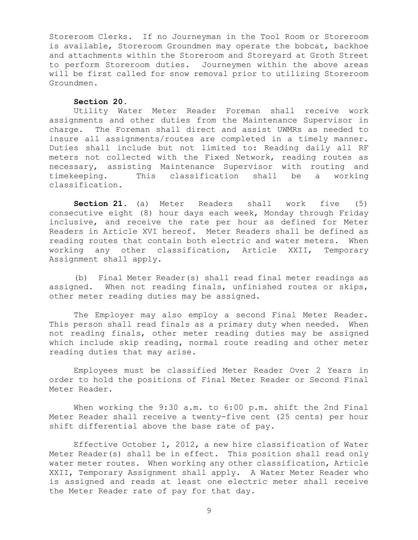Storeroom Clerks. If no Journeyman in the Tool Room or Storeroom is available, Storeroom Groundmen may operate the bobcat, backhoe and attachments within the Storeroom and Storeyard at Groth Street to perform Storeroom duties. Journeymen within the above areas will be first called for snow removal prior to utilizing Storeroom Groundmen.

#### **Section 20.**

Utility Water Meter Reader Foreman shall receive work assignments and other duties from the Maintenance Supervisor in charge. The Foreman shall direct and assist UWMRs as needed to insure all assignments/routes are completed in a timely manner. Duties shall include but not limited to: Reading daily all RF meters not collected with the Fixed Network, reading routes as necessary, assisting Maintenance Supervisor with routing and timekeeping. This classification shall be a working classification.

**Section 21.** (a) Meter Readers shall work five (5) consecutive eight (8) hour days each week, Monday through Friday inclusive, and receive the rate per hour as defined for Meter Readers in Article XVI hereof. Meter Readers shall be defined as reading routes that contain both electric and water meters. When working any other classification, Article XXII, Temporary Assignment shall apply.

(b) Final Meter Reader(s) shall read final meter readings as assigned. When not reading finals, unfinished routes or skips, other meter reading duties may be assigned.

The Employer may also employ a second Final Meter Reader. This person shall read finals as a primary duty when needed. When not reading finals, other meter reading duties may be assigned which include skip reading, normal route reading and other meter reading duties that may arise.

Employees must be classified Meter Reader Over 2 Years in order to hold the positions of Final Meter Reader or Second Final Meter Reader.

When working the 9:30 a.m. to 6:00 p.m. shift the 2nd Final Meter Reader shall receive a twenty-five cent (25 cents) per hour shift differential above the base rate of pay.

Effective October 1, 2012, a new hire classification of Water Meter Reader(s) shall be in effect. This position shall read only water meter routes. When working any other classification, Article XXII, Temporary Assignment shall apply. A Water Meter Reader who is assigned and reads at least one electric meter shall receive the Meter Reader rate of pay for that day.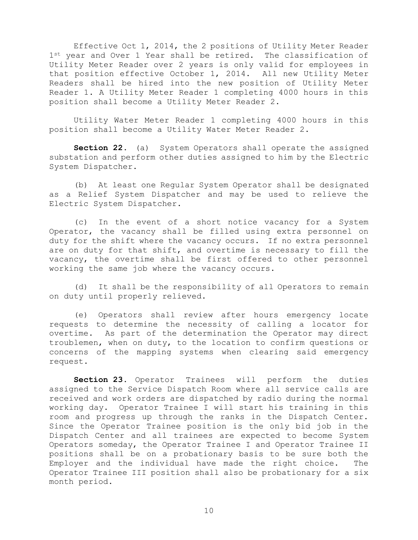Effective Oct 1, 2014, the 2 positions of Utility Meter Reader 1st year and Over 1 Year shall be retired. The classification of Utility Meter Reader over 2 years is only valid for employees in that position effective October 1, 2014. All new Utility Meter Readers shall be hired into the new position of Utility Meter Reader 1. A Utility Meter Reader 1 completing 4000 hours in this position shall become a Utility Meter Reader 2.

Utility Water Meter Reader 1 completing 4000 hours in this position shall become a Utility Water Meter Reader 2.

**Section 22.** (a) System Operators shall operate the assigned substation and perform other duties assigned to him by the Electric System Dispatcher.

(b) At least one Regular System Operator shall be designated as a Relief System Dispatcher and may be used to relieve the Electric System Dispatcher.

(c) In the event of a short notice vacancy for a System Operator, the vacancy shall be filled using extra personnel on duty for the shift where the vacancy occurs. If no extra personnel are on duty for that shift, and overtime is necessary to fill the vacancy, the overtime shall be first offered to other personnel working the same job where the vacancy occurs.

(d) It shall be the responsibility of all Operators to remain on duty until properly relieved.

(e) Operators shall review after hours emergency locate requests to determine the necessity of calling a locator for overtime. As part of the determination the Operator may direct troublemen, when on duty, to the location to confirm questions or concerns of the mapping systems when clearing said emergency request.

**Section 23.** Operator Trainees will perform the duties assigned to the Service Dispatch Room where all service calls are received and work orders are dispatched by radio during the normal working day. Operator Trainee I will start his training in this room and progress up through the ranks in the Dispatch Center. Since the Operator Trainee position is the only bid job in the Dispatch Center and all trainees are expected to become System Operators someday, the Operator Trainee I and Operator Trainee II positions shall be on a probationary basis to be sure both the Employer and the individual have made the right choice. The Operator Trainee III position shall also be probationary for a six month period.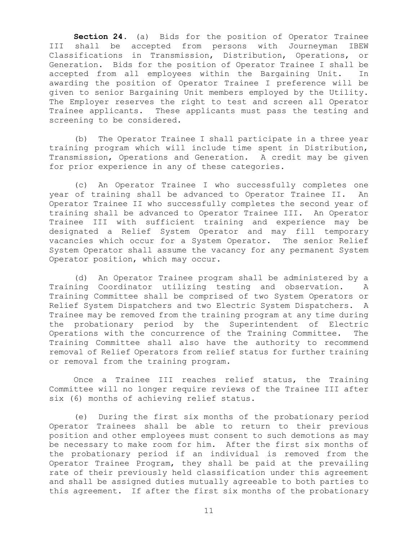**Section 24.** (a) Bids for the position of Operator Trainee III shall be accepted from persons with Journeyman IBEW Classifications in Transmission, Distribution, Operations, or Generation. Bids for the position of Operator Trainee I shall be accepted from all employees within the Bargaining Unit. In awarding the position of Operator Trainee I preference will be given to senior Bargaining Unit members employed by the Utility. The Employer reserves the right to test and screen all Operator Trainee applicants. These applicants must pass the testing and screening to be considered.

(b) The Operator Trainee I shall participate in a three year training program which will include time spent in Distribution, Transmission, Operations and Generation. A credit may be given for prior experience in any of these categories.

(c) An Operator Trainee I who successfully completes one year of training shall be advanced to Operator Trainee II. An Operator Trainee II who successfully completes the second year of training shall be advanced to Operator Trainee III. An Operator Trainee III with sufficient training and experience may be designated a Relief System Operator and may fill temporary vacancies which occur for a System Operator. The senior Relief System Operator shall assume the vacancy for any permanent System Operator position, which may occur.

(d) An Operator Trainee program shall be administered by a Training Coordinator utilizing testing and observation. A Training Committee shall be comprised of two System Operators or Relief System Dispatchers and two Electric System Dispatchers. A Trainee may be removed from the training program at any time during the probationary period by the Superintendent of Electric Operations with the concurrence of the Training Committee. The Training Committee shall also have the authority to recommend removal of Relief Operators from relief status for further training or removal from the training program.

Once a Trainee III reaches relief status, the Training Committee will no longer require reviews of the Trainee III after six (6) months of achieving relief status.

(e) During the first six months of the probationary period Operator Trainees shall be able to return to their previous position and other employees must consent to such demotions as may be necessary to make room for him. After the first six months of the probationary period if an individual is removed from the Operator Trainee Program, they shall be paid at the prevailing rate of their previously held classification under this agreement and shall be assigned duties mutually agreeable to both parties to this agreement. If after the first six months of the probationary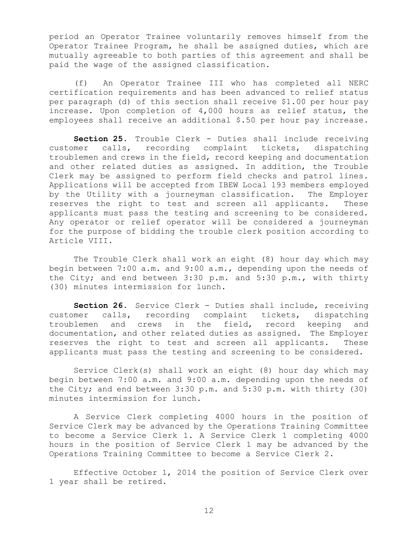period an Operator Trainee voluntarily removes himself from the Operator Trainee Program, he shall be assigned duties, which are mutually agreeable to both parties of this agreement and shall be paid the wage of the assigned classification.

(f) An Operator Trainee III who has completed all NERC certification requirements and has been advanced to relief status per paragraph (d) of this section shall receive \$1.00 per hour pay increase. Upon completion of 4,000 hours as relief status, the employees shall receive an additional \$.50 per hour pay increase.

**Section 25.** Trouble Clerk - Duties shall include receiving customer calls, recording complaint tickets, dispatching troublemen and crews in the field, record keeping and documentation and other related duties as assigned. In addition, the Trouble Clerk may be assigned to perform field checks and patrol lines. Applications will be accepted from IBEW Local 193 members employed by the Utility with a journeyman classification. The Employer reserves the right to test and screen all applicants. These applicants must pass the testing and screening to be considered. Any operator or relief operator will be considered a journeyman for the purpose of bidding the trouble clerk position according to Article VIII.

The Trouble Clerk shall work an eight (8) hour day which may begin between 7:00 a.m. and 9:00 a.m., depending upon the needs of the City; and end between 3:30 p.m. and 5:30 p.m., with thirty (30) minutes intermission for lunch.

**Section 26.** Service Clerk - Duties shall include, receiving customer calls, recording complaint tickets, dispatching troublemen and crews in the field, record keeping and documentation, and other related duties as assigned. The Employer reserves the right to test and screen all applicants. These applicants must pass the testing and screening to be considered.

Service Clerk(s) shall work an eight (8) hour day which may begin between 7:00 a.m. and 9:00 a.m. depending upon the needs of the City; and end between 3:30 p.m. and 5:30 p.m. with thirty (30) minutes intermission for lunch.

A Service Clerk completing 4000 hours in the position of Service Clerk may be advanced by the Operations Training Committee to become a Service Clerk 1. A Service Clerk 1 completing 4000 hours in the position of Service Clerk 1 may be advanced by the Operations Training Committee to become a Service Clerk 2.

Effective October 1, 2014 the position of Service Clerk over 1 year shall be retired.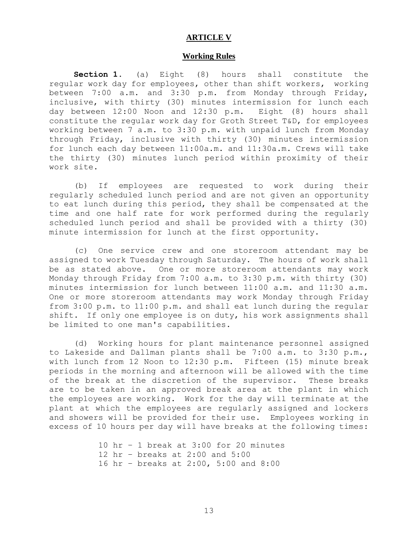#### **ARTICLE V**

#### **Working Rules**

<span id="page-15-0"></span>**Section 1.** (a) Eight (8) hours shall constitute the regular work day for employees, other than shift workers, working between 7:00 a.m. and 3:30 p.m. from Monday through Friday, inclusive, with thirty (30) minutes intermission for lunch each day between 12:00 Noon and 12:30 p.m. Eight (8) hours shall constitute the regular work day for Groth Street T&D, for employees working between 7 a.m. to 3:30 p.m. with unpaid lunch from Monday through Friday, inclusive with thirty (30) minutes intermission for lunch each day between 11:00a.m. and 11:30a.m. Crews will take the thirty (30) minutes lunch period within proximity of their work site.

(b) If employees are requested to work during their regularly scheduled lunch period and are not given an opportunity to eat lunch during this period, they shall be compensated at the time and one half rate for work performed during the regularly scheduled lunch period and shall be provided with a thirty (30) minute intermission for lunch at the first opportunity.

(c) One service crew and one storeroom attendant may be assigned to work Tuesday through Saturday. The hours of work shall be as stated above. One or more storeroom attendants may work Monday through Friday from 7:00 a.m. to 3:30 p.m. with thirty (30) minutes intermission for lunch between 11:00 a.m. and 11:30 a.m. One or more storeroom attendants may work Monday through Friday from 3:00 p.m. to 11:00 p.m. and shall eat lunch during the regular shift. If only one employee is on duty, his work assignments shall be limited to one man's capabilities.

(d) Working hours for plant maintenance personnel assigned to Lakeside and Dallman plants shall be 7:00 a.m. to 3:30 p.m., with lunch from 12 Noon to 12:30 p.m. Fifteen (15) minute break periods in the morning and afternoon will be allowed with the time of the break at the discretion of the supervisor. These breaks are to be taken in an approved break area at the plant in which the employees are working. Work for the day will terminate at the plant at which the employees are regularly assigned and lockers and showers will be provided for their use. Employees working in excess of 10 hours per day will have breaks at the following times:

> 10 hr – 1 break at 3:00 for 20 minutes 12 hr – breaks at 2:00 and 5:00 16 hr – breaks at 2:00, 5:00 and 8:00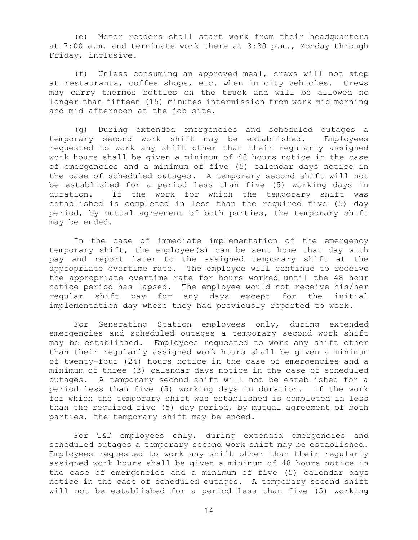(e) Meter readers shall start work from their headquarters at 7:00 a.m. and terminate work there at 3:30 p.m., Monday through Friday, inclusive.

(f) Unless consuming an approved meal, crews will not stop at restaurants, coffee shops, etc. when in city vehicles. Crews may carry thermos bottles on the truck and will be allowed no longer than fifteen (15) minutes intermission from work mid morning and mid afternoon at the job site.

(g) During extended emergencies and scheduled outages a temporary second work shift may be established. Employees requested to work any shift other than their regularly assigned work hours shall be given a minimum of 48 hours notice in the case of emergencies and a minimum of five (5) calendar days notice in the case of scheduled outages. A temporary second shift will not be established for a period less than five (5) working days in duration. If the work for which the temporary shift was established is completed in less than the required five (5) day period, by mutual agreement of both parties, the temporary shift may be ended.

In the case of immediate implementation of the emergency temporary shift, the employee(s) can be sent home that day with pay and report later to the assigned temporary shift at the appropriate overtime rate. The employee will continue to receive the appropriate overtime rate for hours worked until the 48 hour notice period has lapsed. The employee would not receive his/her regular shift pay for any days except for the initial implementation day where they had previously reported to work.

For Generating Station employees only, during extended emergencies and scheduled outages a temporary second work shift may be established. Employees requested to work any shift other than their regularly assigned work hours shall be given a minimum of twenty-four (24) hours notice in the case of emergencies and a minimum of three (3) calendar days notice in the case of scheduled outages. A temporary second shift will not be established for a period less than five (5) working days in duration. If the work for which the temporary shift was established is completed in less than the required five (5) day period, by mutual agreement of both parties, the temporary shift may be ended.

For T&D employees only, during extended emergencies and scheduled outages a temporary second work shift may be established. Employees requested to work any shift other than their regularly assigned work hours shall be given a minimum of 48 hours notice in the case of emergencies and a minimum of five (5) calendar days notice in the case of scheduled outages. A temporary second shift will not be established for a period less than five (5) working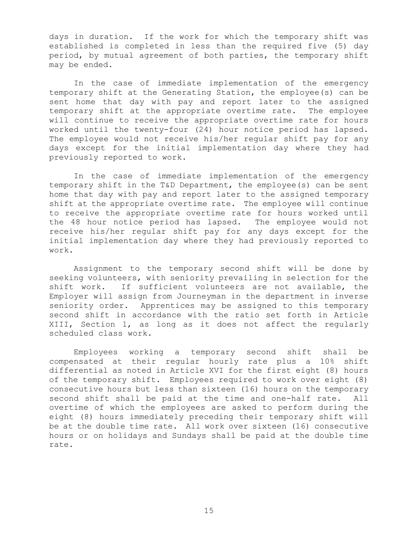days in duration. If the work for which the temporary shift was established is completed in less than the required five (5) day period, by mutual agreement of both parties, the temporary shift may be ended.

In the case of immediate implementation of the emergency temporary shift at the Generating Station, the employee(s) can be sent home that day with pay and report later to the assigned temporary shift at the appropriate overtime rate. The employee will continue to receive the appropriate overtime rate for hours worked until the twenty-four (24) hour notice period has lapsed. The employee would not receive his/her regular shift pay for any days except for the initial implementation day where they had previously reported to work.

In the case of immediate implementation of the emergency temporary shift in the T&D Department, the employee(s) can be sent home that day with pay and report later to the assigned temporary shift at the appropriate overtime rate. The employee will continue to receive the appropriate overtime rate for hours worked until the 48 hour notice period has lapsed. The employee would not receive his/her regular shift pay for any days except for the initial implementation day where they had previously reported to work.

Assignment to the temporary second shift will be done by seeking volunteers, with seniority prevailing in selection for the shift work. If sufficient volunteers are not available, the Employer will assign from Journeyman in the department in inverse seniority order. Apprentices may be assigned to this temporary second shift in accordance with the ratio set forth in Article XIII, Section 1, as long as it does not affect the regularly scheduled class work.

Employees working a temporary second shift shall be compensated at their regular hourly rate plus a 10% shift differential as noted in Article XVI for the first eight (8) hours of the temporary shift. Employees required to work over eight (8) consecutive hours but less than sixteen (16) hours on the temporary second shift shall be paid at the time and one-half rate. All overtime of which the employees are asked to perform during the eight (8) hours immediately preceding their temporary shift will be at the double time rate. All work over sixteen (16) consecutive hours or on holidays and Sundays shall be paid at the double time rate.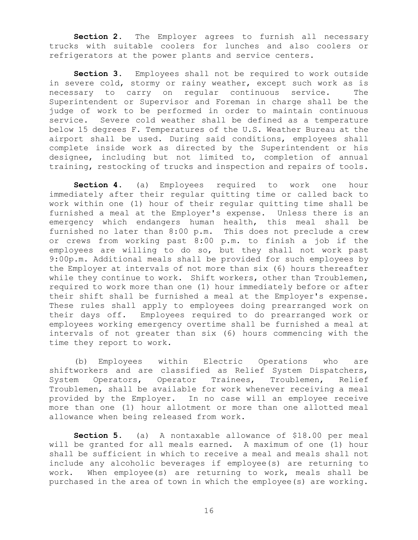Section 2. The Employer agrees to furnish all necessary trucks with suitable coolers for lunches and also coolers or refrigerators at the power plants and service centers.

**Section 3.** Employees shall not be required to work outside in severe cold, stormy or rainy weather, except such work as is necessary to carry on regular continuous service. The Superintendent or Supervisor and Foreman in charge shall be the judge of work to be performed in order to maintain continuous service. Severe cold weather shall be defined as a temperature below 15 degrees F. Temperatures of the U.S. Weather Bureau at the airport shall be used. During said conditions, employees shall complete inside work as directed by the Superintendent or his designee, including but not limited to, completion of annual training, restocking of trucks and inspection and repairs of tools.

**Section 4.** (a) Employees required to work one hour immediately after their regular quitting time or called back to work within one (1) hour of their regular quitting time shall be furnished a meal at the Employer's expense. Unless there is an emergency which endangers human health, this meal shall be furnished no later than 8:00 p.m. This does not preclude a crew or crews from working past 8:00 p.m. to finish a job if the employees are willing to do so, but they shall not work past 9:00p.m. Additional meals shall be provided for such employees by the Employer at intervals of not more than six (6) hours thereafter while they continue to work. Shift workers, other than Troublemen, required to work more than one (1) hour immediately before or after their shift shall be furnished a meal at the Employer's expense. These rules shall apply to employees doing prearranged work on their days off. Employees required to do prearranged work or employees working emergency overtime shall be furnished a meal at intervals of not greater than six (6) hours commencing with the time they report to work.

(b) Employees within Electric Operations who are shiftworkers and are classified as Relief System Dispatchers, System Operators, Operator Trainees, Troublemen, Relief Troublemen, shall be available for work whenever receiving a meal provided by the Employer. In no case will an employee receive more than one (1) hour allotment or more than one allotted meal allowance when being released from work.

**Section 5.** (a) A nontaxable allowance of \$18.00 per meal will be granted for all meals earned. A maximum of one (1) hour shall be sufficient in which to receive a meal and meals shall not include any alcoholic beverages if employee(s) are returning to work. When employee(s) are returning to work, meals shall be purchased in the area of town in which the employee(s) are working.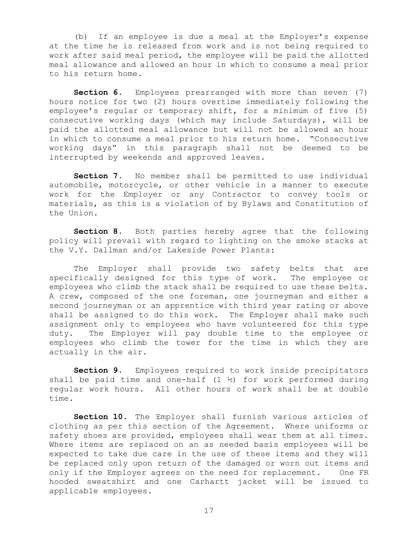(b) If an employee is due a meal at the Employer's expense at the time he is released from work and is not being required to work after said meal period, the employee will be paid the allotted meal allowance and allowed an hour in which to consume a meal prior to his return home.

**Section 6.** Employees prearranged with more than seven (7) hours notice for two (2) hours overtime immediately following the employee's regular or temporary shift, for a minimum of five (5) consecutive working days (which may include Saturdays), will be paid the allotted meal allowance but will not be allowed an hour in which to consume a meal prior to his return home. "Consecutive working days" in this paragraph shall not be deemed to be interrupted by weekends and approved leaves.

Section 7. No member shall be permitted to use individual automobile, motorcycle, or other vehicle in a manner to execute work for the Employer or any Contractor to convey tools or materials, as this is a violation of by Bylaws and Constitution of the Union.

**Section 8.** Both parties hereby agree that the following policy will prevail with regard to lighting on the smoke stacks at the V.Y. Dallman and/or Lakeside Power Plants:

The Employer shall provide two safety belts that are specifically designed for this type of work. The employee or employees who climb the stack shall be required to use these belts. A crew, composed of the one foreman, one journeyman and either a second journeyman or an apprentice with third year rating or above shall be assigned to do this work. The Employer shall make such assignment only to employees who have volunteered for this type duty. The Employer will pay double time to the employee or employees who climb the tower for the time in which they are actually in the air.

**Section 9.** Employees required to work inside precipitators shall be paid time and one-half  $(1 \frac{1}{2})$  for work performed during regular work hours. All other hours of work shall be at double time.

**Section 10.** The Employer shall furnish various articles of clothing as per this section of the Agreement. Where uniforms or safety shoes are provided, employees shall wear them at all times. Where items are replaced on an as needed basis employees will be expected to take due care in the use of these items and they will be replaced only upon return of the damaged or worn out items and only if the Employer agrees on the need for replacement. One FR hooded sweatshirt and one Carhartt jacket will be issued to applicable employees.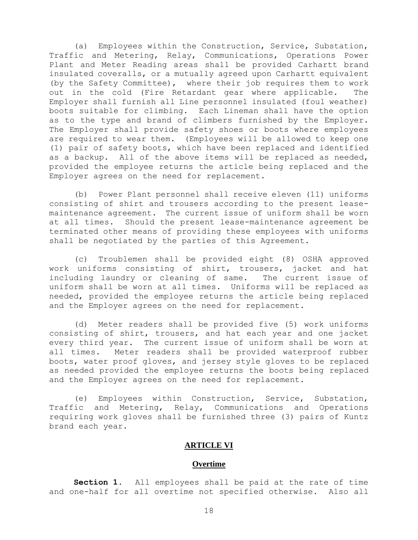(a) Employees within the Construction, Service, Substation, Traffic and Metering, Relay, Communications, Operations Power Plant and Meter Reading areas shall be provided Carhartt brand insulated coveralls, or a mutually agreed upon Carhartt equivalent (by the Safety Committee), where their job requires them to work out in the cold (Fire Retardant gear where applicable. The Employer shall furnish all Line personnel insulated (foul weather) boots suitable for climbing. Each Lineman shall have the option as to the type and brand of climbers furnished by the Employer. The Employer shall provide safety shoes or boots where employees are required to wear them. (Employees will be allowed to keep one (1) pair of safety boots, which have been replaced and identified as a backup. All of the above items will be replaced as needed, provided the employee returns the article being replaced and the Employer agrees on the need for replacement.

(b) Power Plant personnel shall receive eleven (11) uniforms consisting of shirt and trousers according to the present leasemaintenance agreement. The current issue of uniform shall be worn at all times. Should the present lease-maintenance agreement be terminated other means of providing these employees with uniforms shall be negotiated by the parties of this Agreement.

(c) Troublemen shall be provided eight (8) OSHA approved work uniforms consisting of shirt, trousers, jacket and hat including laundry or cleaning of same. The current issue of uniform shall be worn at all times. Uniforms will be replaced as needed, provided the employee returns the article being replaced and the Employer agrees on the need for replacement.

(d) Meter readers shall be provided five (5) work uniforms consisting of shirt, trousers, and hat each year and one jacket every third year. The current issue of uniform shall be worn at all times. Meter readers shall be provided waterproof rubber boots, water proof gloves, and jersey style gloves to be replaced as needed provided the employee returns the boots being replaced and the Employer agrees on the need for replacement.

(e) Employees within Construction, Service, Substation, Traffic and Metering, Relay, Communications and Operations requiring work gloves shall be furnished three (3) pairs of Kuntz brand each year.

#### **ARTICLE VI**

#### **Overtime**

<span id="page-20-0"></span>**Section 1.** All employees shall be paid at the rate of time and one-half for all overtime not specified otherwise. Also all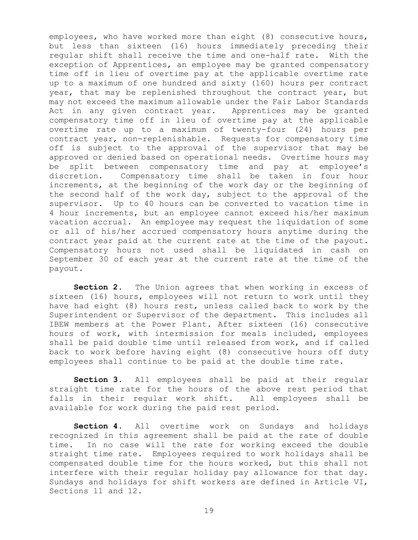employees, who have worked more than eight (8) consecutive hours, but less than sixteen (16) hours immediately preceding their regular shift shall receive the time and one-half rate. With the exception of Apprentices, an employee may be granted compensatory time off in lieu of overtime pay at the applicable overtime rate up to a maximum of one hundred and sixty (160) hours per contract year, that may be replenished throughout the contract year, but may not exceed the maximum allowable under the Fair Labor Standards Act in any given contract year. Apprentices may be granted compensatory time off in lieu of overtime pay at the applicable overtime rate up to a maximum of twenty-four (24) hours per contract year, non-replenishable. Requests for compensatory time off is subject to the approval of the supervisor that may be approved or denied based on operational needs. Overtime hours may be split between compensatory time and pay at employee's discretion. Compensatory time shall be taken in four hour increments, at the beginning of the work day or the beginning of the second half of the work day, subject to the approval of the supervisor. Up to 40 hours can be converted to vacation time in 4 hour increments, but an employee cannot exceed his/her maximum vacation accrual. An employee may request the liquidation of some or all of his/her accrued compensatory hours anytime during the contract year paid at the current rate at the time of the payout. Compensatory hours not used shall be liquidated in cash on September 30 of each year at the current rate at the time of the payout.

**Section 2.** The Union agrees that when working in excess of sixteen (16) hours, employees will not return to work until they have had eight (8) hours rest, unless called back to work by the Superintendent or Supervisor of the department. This includes all IBEW members at the Power Plant. After sixteen (16) consecutive hours of work, with intermission for meals included, employees shall be paid double time until released from work, and if called back to work before having eight (8) consecutive hours off duty employees shall continue to be paid at the double time rate.

**Section 3.** All employees shall be paid at their regular straight time rate for the hours of the above rest period that falls in their regular work shift. All employees shall be available for work during the paid rest period.

**Section 4.** All overtime work on Sundays and holidays recognized in this agreement shall be paid at the rate of double time. In no case will the rate for working exceed the double straight time rate. Employees required to work holidays shall be compensated double time for the hours worked, but this shall not interfere with their regular holiday pay allowance for that day. Sundays and holidays for shift workers are defined in Article VI, Sections 11 and 12.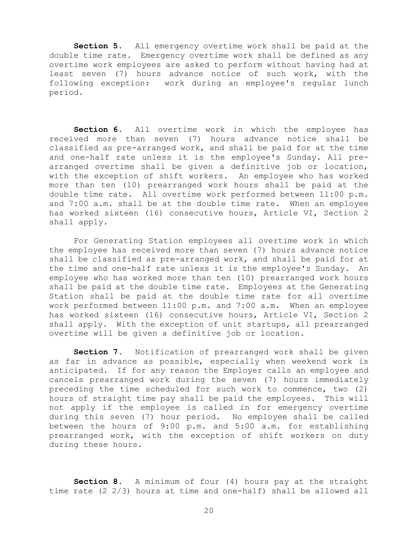**Section 5.** All emergency overtime work shall be paid at the double time rate. Emergency overtime work shall be defined as any overtime work employees are asked to perform without having had at least seven (7) hours advance notice of such work, with the following exception: work during an employee's regular lunch period.

**Section 6.** All overtime work in which the employee has received more than seven (7) hours advance notice shall be classified as pre-arranged work, and shall be paid for at the time and one-half rate unless it is the employee's Sunday. All prearranged overtime shall be given a definitive job or location, with the exception of shift workers. An employee who has worked more than ten (10) prearranged work hours shall be paid at the double time rate. All overtime work performed between 11:00 p.m. and 7:00 a.m. shall be at the double time rate. When an employee has worked sixteen (16) consecutive hours, Article VI, Section 2 shall apply.

For Generating Station employees all overtime work in which the employee has received more than seven (7) hours advance notice shall be classified as pre-arranged work, and shall be paid for at the time and one-half rate unless it is the employee's Sunday. An employee who has worked more than ten (10) prearranged work hours shall be paid at the double time rate. Employees at the Generating Station shall be paid at the double time rate for all overtime work performed between 11:00 p.m. and 7:00 a.m. When an employee has worked sixteen (16) consecutive hours, Article VI, Section 2 shall apply. With the exception of unit startups, all prearranged overtime will be given a definitive job or location.

**Section 7.** Notification of prearranged work shall be given as far in advance as possible, especially when weekend work is anticipated. If for any reason the Employer calls an employee and cancels prearranged work during the seven (7) hours immediately preceding the time scheduled for such work to commence, two (2) hours of straight time pay shall be paid the employees. This will not apply if the employee is called in for emergency overtime during this seven (7) hour period. No employee shall be called between the hours of 9:00 p.m. and 5:00 a.m. for establishing prearranged work, with the exception of shift workers on duty during these hours.

**Section 8.** A minimum of four (4) hours pay at the straight time rate (2 2/3) hours at time and one-half) shall be allowed all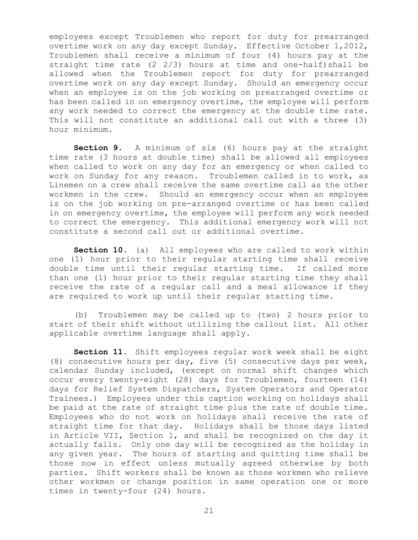employees except Troublemen who report for duty for prearranged overtime work on any day except Sunday. Effective October 1,2012, Troublemen shall receive a minimum of four (4) hours pay at the straight time rate (2 2/3) hours at time and one-half)shall be allowed when the Troublemen report for duty for prearranged overtime work on any day except Sunday. Should an emergency occur when an employee is on the job working on prearranged overtime or has been called in on emergency overtime, the employee will perform any work needed to correct the emergency at the double time rate. This will not constitute an additional call out with a three (3) hour minimum.

**Section 9.** A minimum of six (6) hours pay at the straight time rate (3 hours at double time) shall be allowed all employees when called to work on any day for an emergency or when called to work on Sunday for any reason. Troublemen called in to work, as Linemen on a crew shall receive the same overtime call as the other workmen in the crew. Should an emergency occur when an employee is on the job working on pre-arranged overtime or has been called in on emergency overtime, the employee will perform any work needed to correct the emergency. This additional emergency work will not constitute a second call out or additional overtime.

**Section 10.** (a) All employees who are called to work within one (1) hour prior to their regular starting time shall receive double time until their regular starting time. If called more than one (1) hour prior to their regular starting time they shall receive the rate of a regular call and a meal allowance if they are required to work up until their regular starting time.

(b) Troublemen may be called up to (two) 2 hours prior to start of their shift without utilizing the callout list. All other applicable overtime language shall apply.

**Section 11.** Shift employees regular work week shall be eight (8) consecutive hours per day, five (5) consecutive days per week, calendar Sunday included, (except on normal shift changes which occur every twenty-eight (28) days for Troublemen, fourteen (14) days for Relief System Dispatchers, System Operators and Operator Trainees.) Employees under this caption working on holidays shall be paid at the rate of straight time plus the rate of double time. Employees who do not work on holidays shall receive the rate of straight time for that day. Holidays shall be those days listed in Article VII, Section 1, and shall be recognized on the day it actually falls. Only one day will be recognized as the holiday in any given year. The hours of starting and quitting time shall be those now in effect unless mutually agreed otherwise by both parties. Shift workers shall be known as those workmen who relieve other workmen or change position in same operation one or more times in twenty-four (24) hours.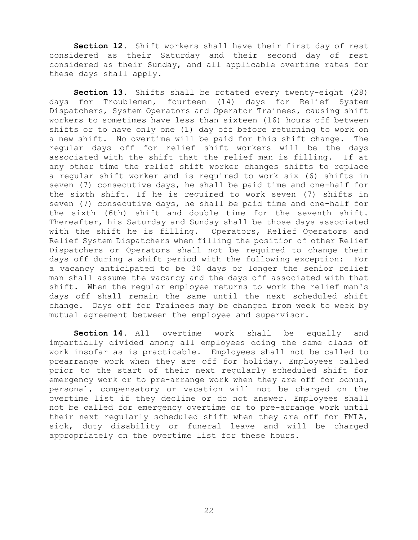**Section 12.** Shift workers shall have their first day of rest considered as their Saturday and their second day of rest considered as their Sunday, and all applicable overtime rates for these days shall apply.

**Section 13.** Shifts shall be rotated every twenty-eight (28) days for Troublemen, fourteen (14) days for Relief System Dispatchers, System Operators and Operator Trainees, causing shift workers to sometimes have less than sixteen (16) hours off between shifts or to have only one (1) day off before returning to work on a new shift. No overtime will be paid for this shift change. The regular days off for relief shift workers will be the days associated with the shift that the relief man is filling. If at any other time the relief shift worker changes shifts to replace a regular shift worker and is required to work six (6) shifts in seven (7) consecutive days, he shall be paid time and one-half for the sixth shift. If he is required to work seven (7) shifts in seven (7) consecutive days, he shall be paid time and one-half for the sixth (6th) shift and double time for the seventh shift. Thereafter, his Saturday and Sunday shall be those days associated with the shift he is filling. Operators, Relief Operators and Relief System Dispatchers when filling the position of other Relief Dispatchers or Operators shall not be required to change their days off during a shift period with the following exception: For a vacancy anticipated to be 30 days or longer the senior relief man shall assume the vacancy and the days off associated with that shift. When the regular employee returns to work the relief man's days off shall remain the same until the next scheduled shift change. Days off for Trainees may be changed from week to week by mutual agreement between the employee and supervisor.

**Section 14.** All overtime work shall be equally and impartially divided among all employees doing the same class of work insofar as is practicable. Employees shall not be called to prearrange work when they are off for holiday. Employees called prior to the start of their next regularly scheduled shift for emergency work or to pre-arrange work when they are off for bonus, personal, compensatory or vacation will not be charged on the overtime list if they decline or do not answer. Employees shall not be called for emergency overtime or to pre-arrange work until their next regularly scheduled shift when they are off for FMLA, sick, duty disability or funeral leave and will be charged appropriately on the overtime list for these hours.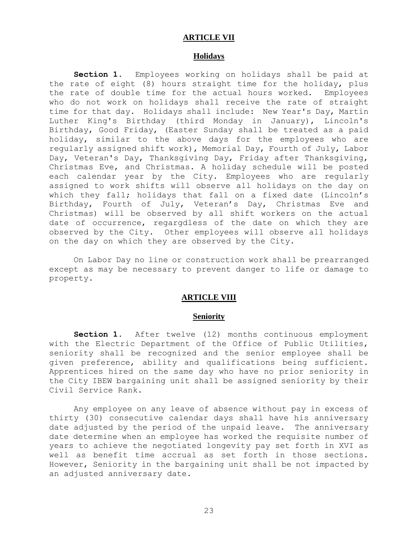#### **ARTICLE VII**

## **Holidays**

<span id="page-25-0"></span>**Section 1.** Employees working on holidays shall be paid at the rate of eight (8) hours straight time for the holiday, plus the rate of double time for the actual hours worked. Employees who do not work on holidays shall receive the rate of straight time for that day. Holidays shall include: New Year's Day, Martin Luther King's Birthday (third Monday in January), Lincoln's Birthday, Good Friday, (Easter Sunday shall be treated as a paid holiday, similar to the above days for the employees who are regularly assigned shift work), Memorial Day, Fourth of July, Labor Day, Veteran's Day, Thanksgiving Day, Friday after Thanksgiving, Christmas Eve, and Christmas. A holiday schedule will be posted each calendar year by the City. Employees who are regularly assigned to work shifts will observe all holidays on the day on which they fall; holidays that fall on a fixed date (Lincoln's Birthday, Fourth of July, Veteran's Day, Christmas Eve and Christmas) will be observed by all shift workers on the actual date of occurrence, regargdless of the date on which they are observed by the City. Other employees will observe all holidays on the day on which they are observed by the City.

<span id="page-25-1"></span>On Labor Day no line or construction work shall be prearranged except as may be necessary to prevent danger to life or damage to property.

#### **ARTICLE VIII**

#### **Seniority**

Section 1. After twelve (12) months continuous employment with the Electric Department of the Office of Public Utilities, seniority shall be recognized and the senior employee shall be given preference, ability and qualifications being sufficient. Apprentices hired on the same day who have no prior seniority in the City IBEW bargaining unit shall be assigned seniority by their Civil Service Rank.

Any employee on any leave of absence without pay in excess of thirty (30) consecutive calendar days shall have his anniversary date adjusted by the period of the unpaid leave. The anniversary date determine when an employee has worked the requisite number of years to achieve the negotiated longevity pay set forth in XVI as well as benefit time accrual as set forth in those sections. However, Seniority in the bargaining unit shall be not impacted by an adjusted anniversary date.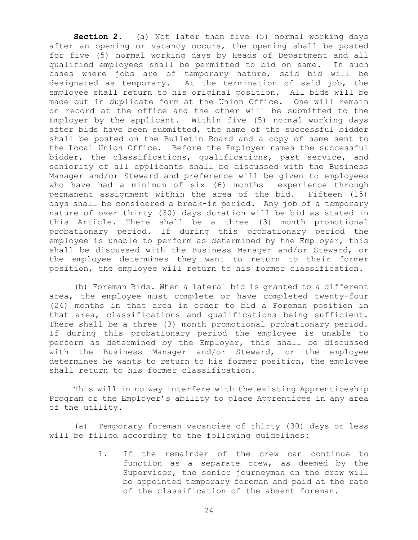**Section 2.** (a) Not later than five (5) normal working days after an opening or vacancy occurs, the opening shall be posted for five (5) normal working days by Heads of Department and all qualified employees shall be permitted to bid on same. In such cases where jobs are of temporary nature, said bid will be designated as temporary. At the termination of said job, the employee shall return to his original position. All bids will be made out in duplicate form at the Union Office. One will remain on record at the office and the other will be submitted to the Employer by the applicant. Within five (5) normal working days after bids have been submitted, the name of the successful bidder shall be posted on the Bulletin Board and a copy of same sent to the Local Union Office. Before the Employer names the successful bidder, the classifications, qualifications, past service, and seniority of all applicants shall be discussed with the Business Manager and/or Steward and preference will be given to employees who have had a minimum of six (6) months experience through permanent assignment within the area of the bid. Fifteen (15) days shall be considered a break-in period. Any job of a temporary nature of over thirty (30) days duration will be bid as stated in this Article. There shall be a three (3) month promotional probationary period. If during this probationary period the employee is unable to perform as determined by the Employer, this shall be discussed with the Business Manager and/or Steward, or the employee determines they want to return to their former position, the employee will return to his former classification.

(b) Foreman Bids. When a lateral bid is granted to a different area, the employee must complete or have completed twenty-four (24) months in that area in order to bid a Foreman position in that area, classifications and qualifications being sufficient. There shall be a three (3) month promotional probationary period. If during this probationary period the employee is unable to perform as determined by the Employer, this shall be discussed with the Business Manager and/or Steward, or the employee determines he wants to return to his former position, the employee shall return to his former classification.

This will in no way interfere with the existing Apprenticeship Program or the Employer's ability to place Apprentices in any area of the utility.

(a) Temporary foreman vacancies of thirty (30) days or less will be filled according to the following guidelines:

> 1. If the remainder of the crew can continue to function as a separate crew, as deemed by the Supervisor, the senior journeyman on the crew will be appointed temporary foreman and paid at the rate of the classification of the absent foreman.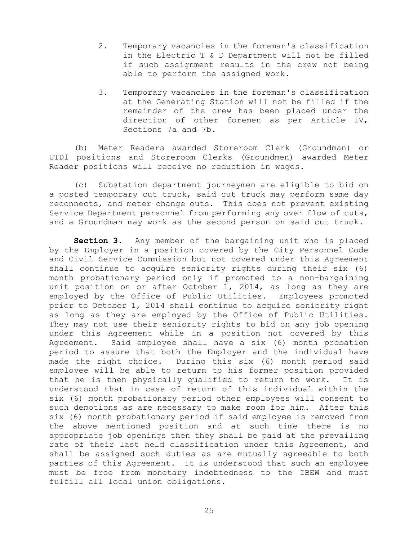- 2. Temporary vacancies in the foreman's classification in the Electric T & D Department will not be filled if such assignment results in the crew not being able to perform the assigned work.
- 3. Temporary vacancies in the foreman's classification at the Generating Station will not be filled if the remainder of the crew has been placed under the direction of other foremen as per Article IV, Sections 7a and 7b.

(b) Meter Readers awarded Storeroom Clerk (Groundman) or UTD1 positions and Storeroom Clerks (Groundmen) awarded Meter Reader positions will receive no reduction in wages.

(c) Substation department journeymen are eligible to bid on a posted temporary cut truck, said cut truck may perform same day reconnects, and meter change outs. This does not prevent existing Service Department personnel from performing any over flow of cuts, and a Groundman may work as the second person on said cut truck.

**Section 3.** Any member of the bargaining unit who is placed by the Employer in a position covered by the City Personnel Code and Civil Service Commission but not covered under this Agreement shall continue to acquire seniority rights during their six (6) month probationary period only if promoted to a non-bargaining unit position on or after October 1, 2014, as long as they are employed by the Office of Public Utilities. Employees promoted prior to October 1, 2014 shall continue to acquire seniority right as long as they are employed by the Office of Public Utilities. They may not use their seniority rights to bid on any job opening under this Agreement while in a position not covered by this Agreement. Said employee shall have a six (6) month probation period to assure that both the Employer and the individual have made the right choice. During this six (6) month period said employee will be able to return to his former position provided that he is then physically qualified to return to work. It is understood that in case of return of this individual within the six (6) month probationary period other employees will consent to such demotions as are necessary to make room for him. After this six (6) month probationary period if said employee is removed from the above mentioned position and at such time there is no appropriate job openings then they shall be paid at the prevailing rate of their last held classification under this Agreement, and shall be assigned such duties as are mutually agreeable to both parties of this Agreement. It is understood that such an employee must be free from monetary indebtedness to the IBEW and must fulfill all local union obligations.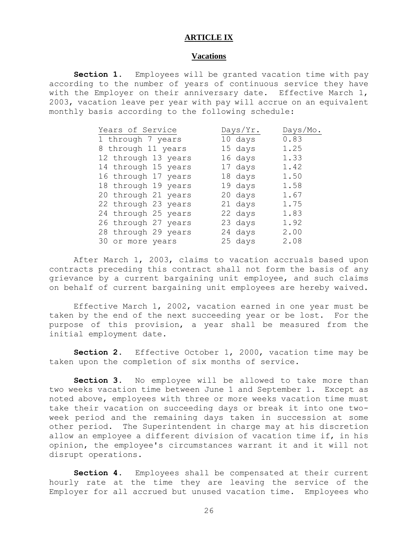#### **ARTICLE IX**

#### **Vacations**

<span id="page-28-0"></span>**Section 1.** Employees will be granted vacation time with pay according to the number of years of continuous service they have with the Employer on their anniversary date. Effective March 1, 2003, vacation leave per year with pay will accrue on an equivalent monthly basis according to the following schedule:

| Years of Service    | Days/Yr. | Days/Mo. |
|---------------------|----------|----------|
| 1 through 7 years   | 10 days  | 0.83     |
| 8 through 11 years  | 15 days  | 1.25     |
| 12 through 13 years | 16 days  | 1.33     |
| 14 through 15 years | 17 days  | 1.42     |
| 16 through 17 years | 18 days  | 1.50     |
| 18 through 19 years | 19 days  | 1.58     |
| 20 through 21 years | 20 days  | 1.67     |
| 22 through 23 years | 21 days  | 1.75     |
| 24 through 25 years | 22 days  | 1.83     |
| 26 through 27 years | 23 days  | 1.92     |
| 28 through 29 years | 24 days  | 2.00     |
| 30 or more years    | 25 days  | 2.08     |

After March 1, 2003, claims to vacation accruals based upon contracts preceding this contract shall not form the basis of any grievance by a current bargaining unit employee, and such claims on behalf of current bargaining unit employees are hereby waived.

Effective March 1, 2002, vacation earned in one year must be taken by the end of the next succeeding year or be lost. For the purpose of this provision, a year shall be measured from the initial employment date.

**Section 2.** Effective October 1, 2000, vacation time may be taken upon the completion of six months of service.

Section 3. No employee will be allowed to take more than two weeks vacation time between June 1 and September 1. Except as noted above, employees with three or more weeks vacation time must take their vacation on succeeding days or break it into one twoweek period and the remaining days taken in succession at some other period. The Superintendent in charge may at his discretion allow an employee a different division of vacation time if, in his opinion, the employee's circumstances warrant it and it will not disrupt operations.

**Section 4.** Employees shall be compensated at their current hourly rate at the time they are leaving the service of the Employer for all accrued but unused vacation time. Employees who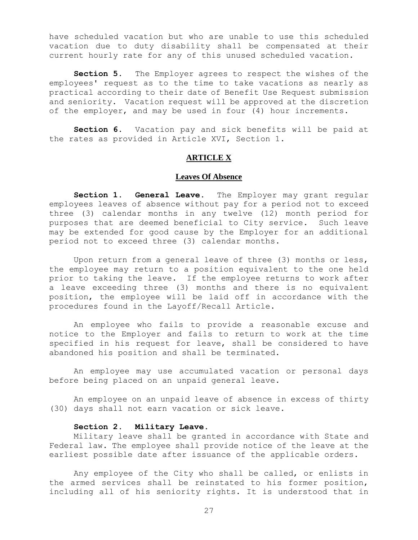have scheduled vacation but who are unable to use this scheduled vacation due to duty disability shall be compensated at their current hourly rate for any of this unused scheduled vacation.

**Section 5.** The Employer agrees to respect the wishes of the employees' request as to the time to take vacations as nearly as practical according to their date of Benefit Use Request submission and seniority. Vacation request will be approved at the discretion of the employer, and may be used in four (4) hour increments.

<span id="page-29-0"></span>**Section 6.** Vacation pay and sick benefits will be paid at the rates as provided in Article XVI, Section 1.

## **ARTICLE X**

#### **Leaves Of Absence**

**Section 1. General Leave.** The Employer may grant regular employees leaves of absence without pay for a period not to exceed three (3) calendar months in any twelve (12) month period for purposes that are deemed beneficial to City service. Such leave may be extended for good cause by the Employer for an additional period not to exceed three (3) calendar months.

Upon return from a general leave of three (3) months or less, the employee may return to a position equivalent to the one held prior to taking the leave. If the employee returns to work after a leave exceeding three (3) months and there is no equivalent position, the employee will be laid off in accordance with the procedures found in the Layoff/Recall Article.

An employee who fails to provide a reasonable excuse and notice to the Employer and fails to return to work at the time specified in his request for leave, shall be considered to have abandoned his position and shall be terminated.

An employee may use accumulated vacation or personal days before being placed on an unpaid general leave.

An employee on an unpaid leave of absence in excess of thirty (30) days shall not earn vacation or sick leave.

### **Section 2. Military Leave.**

Military leave shall be granted in accordance with State and Federal law. The employee shall provide notice of the leave at the earliest possible date after issuance of the applicable orders.

Any employee of the City who shall be called, or enlists in the armed services shall be reinstated to his former position, including all of his seniority rights. It is understood that in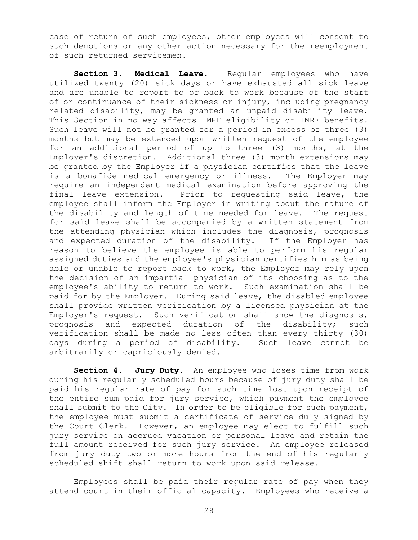case of return of such employees, other employees will consent to such demotions or any other action necessary for the reemployment of such returned servicemen.

**Section 3. Medical Leave.** Regular employees who have utilized twenty (20) sick days or have exhausted all sick leave and are unable to report to or back to work because of the start of or continuance of their sickness or injury, including pregnancy related disability, may be granted an unpaid disability leave. This Section in no way affects IMRF eligibility or IMRF benefits. Such leave will not be granted for a period in excess of three (3) months but may be extended upon written request of the employee for an additional period of up to three (3) months, at the Employer's discretion. Additional three (3) month extensions may be granted by the Employer if a physician certifies that the leave is a bonafide medical emergency or illness. The Employer may require an independent medical examination before approving the final leave extension. Prior to requesting said leave, the employee shall inform the Employer in writing about the nature of the disability and length of time needed for leave. The request for said leave shall be accompanied by a written statement from the attending physician which includes the diagnosis, prognosis and expected duration of the disability. If the Employer has reason to believe the employee is able to perform his regular assigned duties and the employee's physician certifies him as being able or unable to report back to work, the Employer may rely upon the decision of an impartial physician of its choosing as to the employee's ability to return to work. Such examination shall be paid for by the Employer. During said leave, the disabled employee shall provide written verification by a licensed physician at the Employer's request. Such verification shall show the diagnosis, prognosis and expected duration of the disability; such verification shall be made no less often than every thirty (30) days during a period of disability. Such leave cannot be arbitrarily or capriciously denied.

**Section 4. Jury Duty.** An employee who loses time from work during his regularly scheduled hours because of jury duty shall be paid his regular rate of pay for such time lost upon receipt of the entire sum paid for jury service, which payment the employee shall submit to the City. In order to be eligible for such payment, the employee must submit a certificate of service duly signed by the Court Clerk. However, an employee may elect to fulfill such jury service on accrued vacation or personal leave and retain the full amount received for such jury service. An employee released from jury duty two or more hours from the end of his regularly scheduled shift shall return to work upon said release.

Employees shall be paid their regular rate of pay when they attend court in their official capacity. Employees who receive a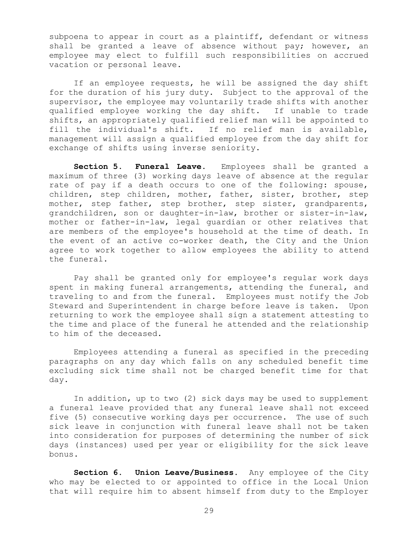subpoena to appear in court as a plaintiff, defendant or witness shall be granted a leave of absence without pay; however, an employee may elect to fulfill such responsibilities on accrued vacation or personal leave.

If an employee requests, he will be assigned the day shift for the duration of his jury duty. Subject to the approval of the supervisor, the employee may voluntarily trade shifts with another qualified employee working the day shift. If unable to trade shifts, an appropriately qualified relief man will be appointed to fill the individual's shift. If no relief man is available, management will assign a qualified employee from the day shift for exchange of shifts using inverse seniority.

**Section 5. Funeral Leave.** Employees shall be granted a maximum of three (3) working days leave of absence at the regular rate of pay if a death occurs to one of the following: spouse, children, step children, mother, father, sister, brother, step mother, step father, step brother, step sister, grandparents, grandchildren, son or daughter-in-law, brother or sister-in-law, mother or father-in-law, legal guardian or other relatives that are members of the employee's household at the time of death. In the event of an active co-worker death, the City and the Union agree to work together to allow employees the ability to attend the funeral.

Pay shall be granted only for employee's regular work days spent in making funeral arrangements, attending the funeral, and traveling to and from the funeral. Employees must notify the Job Steward and Superintendent in charge before leave is taken. Upon returning to work the employee shall sign a statement attesting to the time and place of the funeral he attended and the relationship to him of the deceased.

Employees attending a funeral as specified in the preceding paragraphs on any day which falls on any scheduled benefit time excluding sick time shall not be charged benefit time for that day.

In addition, up to two (2) sick days may be used to supplement a funeral leave provided that any funeral leave shall not exceed five (5) consecutive working days per occurrence. The use of such sick leave in conjunction with funeral leave shall not be taken into consideration for purposes of determining the number of sick days (instances) used per year or eligibility for the sick leave bonus.

**Section 6. Union Leave/Business.** Any employee of the City who may be elected to or appointed to office in the Local Union that will require him to absent himself from duty to the Employer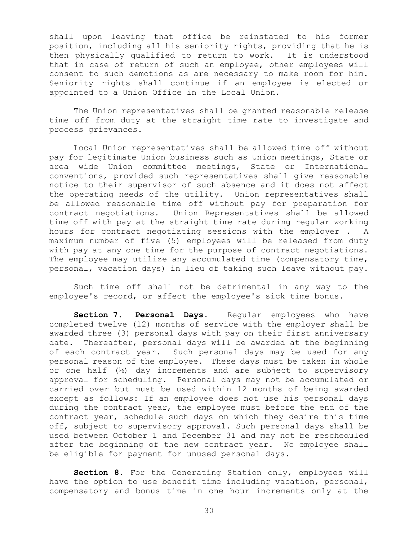shall upon leaving that office be reinstated to his former position, including all his seniority rights, providing that he is then physically qualified to return to work. It is understood that in case of return of such an employee, other employees will consent to such demotions as are necessary to make room for him. Seniority rights shall continue if an employee is elected or appointed to a Union Office in the Local Union.

The Union representatives shall be granted reasonable release time off from duty at the straight time rate to investigate and process grievances.

Local Union representatives shall be allowed time off without pay for legitimate Union business such as Union meetings, State or area wide Union committee meetings, State or International conventions, provided such representatives shall give reasonable notice to their supervisor of such absence and it does not affect the operating needs of the utility. Union representatives shall be allowed reasonable time off without pay for preparation for contract negotiations. Union Representatives shall be allowed time off with pay at the straight time rate during regular working hours for contract negotiating sessions with the employer . A maximum number of five (5) employees will be released from duty with pay at any one time for the purpose of contract negotiations. The employee may utilize any accumulated time (compensatory time, personal, vacation days) in lieu of taking such leave without pay.

Such time off shall not be detrimental in any way to the employee's record, or affect the employee's sick time bonus.

**Section 7. Personal Days.** Regular employees who have completed twelve (12) months of service with the employer shall be awarded three (3) personal days with pay on their first anniversary date. Thereafter, personal days will be awarded at the beginning of each contract year. Such personal days may be used for any personal reason of the employee. These days must be taken in whole or one half (½) day increments and are subject to supervisory approval for scheduling. Personal days may not be accumulated or carried over but must be used within 12 months of being awarded except as follows: If an employee does not use his personal days during the contract year, the employee must before the end of the contract year, schedule such days on which they desire this time off, subject to supervisory approval. Such personal days shall be used between October 1 and December 31 and may not be rescheduled after the beginning of the new contract year. No employee shall be eligible for payment for unused personal days.

**Section 8.** For the Generating Station only, employees will have the option to use benefit time including vacation, personal, compensatory and bonus time in one hour increments only at the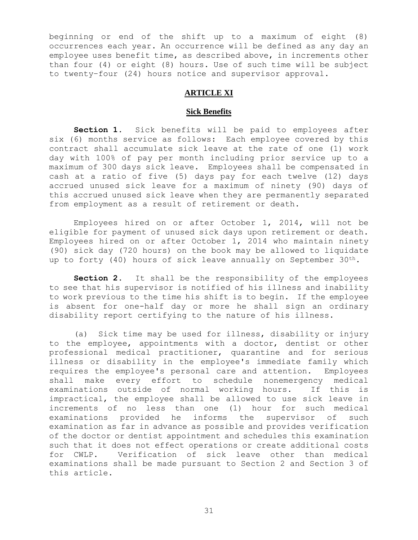beginning or end of the shift up to a maximum of eight (8) occurrences each year. An occurrence will be defined as any day an employee uses benefit time, as described above, in increments other than four (4) or eight (8) hours. Use of such time will be subject to twenty–four (24) hours notice and supervisor approval.

## **ARTICLE XI**

#### **Sick Benefits**

<span id="page-33-0"></span>**Section 1.** Sick benefits will be paid to employees after six (6) months service as follows: Each employee covered by this contract shall accumulate sick leave at the rate of one (1) work day with 100% of pay per month including prior service up to a maximum of 300 days sick leave. Employees shall be compensated in cash at a ratio of five (5) days pay for each twelve (12) days accrued unused sick leave for a maximum of ninety (90) days of this accrued unused sick leave when they are permanently separated from employment as a result of retirement or death.

Employees hired on or after October 1, 2014, will not be eligible for payment of unused sick days upon retirement or death. Employees hired on or after October 1, 2014 who maintain ninety (90) sick day (720 hours) on the book may be allowed to liquidate up to forty (40) hours of sick leave annually on September 30<sup>th</sup>.

**Section 2.** It shall be the responsibility of the employees to see that his supervisor is notified of his illness and inability to work previous to the time his shift is to begin. If the employee is absent for one-half day or more he shall sign an ordinary disability report certifying to the nature of his illness.

(a) Sick time may be used for illness, disability or injury to the employee, appointments with a doctor, dentist or other professional medical practitioner, quarantine and for serious illness or disability in the employee's immediate family which requires the employee's personal care and attention. Employees shall make every effort to schedule nonemergency medical examinations outside of normal working hours. If this is impractical, the employee shall be allowed to use sick leave in increments of no less than one (1) hour for such medical examinations provided he informs the supervisor of such examination as far in advance as possible and provides verification of the doctor or dentist appointment and schedules this examination such that it does not effect operations or create additional costs for CWLP. Verification of sick leave other than medical examinations shall be made pursuant to Section 2 and Section 3 of this article.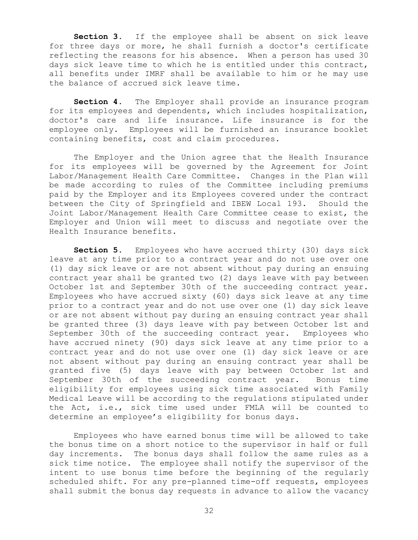**Section 3.** If the employee shall be absent on sick leave for three days or more, he shall furnish a doctor's certificate reflecting the reasons for his absence. When a person has used 30 days sick leave time to which he is entitled under this contract, all benefits under IMRF shall be available to him or he may use the balance of accrued sick leave time.

**Section 4.** The Employer shall provide an insurance program for its employees and dependents, which includes hospitalization, doctor's care and life insurance. Life insurance is for the employee only. Employees will be furnished an insurance booklet containing benefits, cost and claim procedures.

The Employer and the Union agree that the Health Insurance for its employees will be governed by the Agreement for Joint Labor/Management Health Care Committee. Changes in the Plan will be made according to rules of the Committee including premiums paid by the Employer and its Employees covered under the contract between the City of Springfield and IBEW Local 193. Should the Joint Labor/Management Health Care Committee cease to exist, the Employer and Union will meet to discuss and negotiate over the Health Insurance benefits.

**Section 5.** Employees who have accrued thirty (30) days sick leave at any time prior to a contract year and do not use over one (1) day sick leave or are not absent without pay during an ensuing contract year shall be granted two (2) days leave with pay between October 1st and September 30th of the succeeding contract year. Employees who have accrued sixty (60) days sick leave at any time prior to a contract year and do not use over one (1) day sick leave or are not absent without pay during an ensuing contract year shall be granted three (3) days leave with pay between October 1st and September 30th of the succeeding contract year. Employees who have accrued ninety (90) days sick leave at any time prior to a contract year and do not use over one (1) day sick leave or are not absent without pay during an ensuing contract year shall be granted five (5) days leave with pay between October 1st and September 30th of the succeeding contract year. Bonus time eligibility for employees using sick time associated with Family Medical Leave will be according to the regulations stipulated under the Act, i.e., sick time used under FMLA will be counted to determine an employee's eligibility for bonus days.

Employees who have earned bonus time will be allowed to take the bonus time on a short notice to the supervisor in half or full day increments. The bonus days shall follow the same rules as a sick time notice. The employee shall notify the supervisor of the intent to use bonus time before the beginning of the regularly scheduled shift. For any pre-planned time-off requests, employees shall submit the bonus day requests in advance to allow the vacancy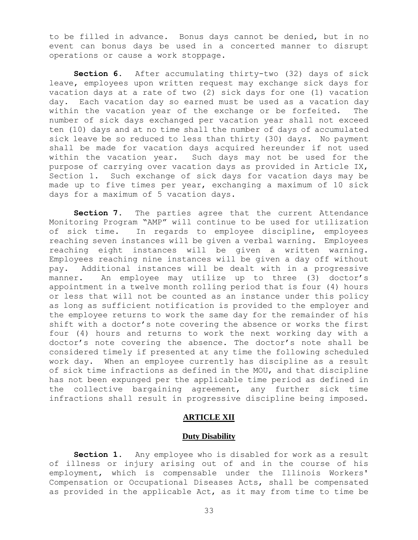to be filled in advance. Bonus days cannot be denied, but in no event can bonus days be used in a concerted manner to disrupt operations or cause a work stoppage.

**Section 6.** After accumulating thirty-two (32) days of sick leave, employees upon written request may exchange sick days for vacation days at a rate of two (2) sick days for one (1) vacation day. Each vacation day so earned must be used as a vacation day within the vacation year of the exchange or be forfeited. The number of sick days exchanged per vacation year shall not exceed ten (10) days and at no time shall the number of days of accumulated sick leave be so reduced to less than thirty (30) days. No payment shall be made for vacation days acquired hereunder if not used within the vacation year. Such days may not be used for the purpose of carrying over vacation days as provided in Article IX, Section 1. Such exchange of sick days for vacation days may be made up to five times per year, exchanging a maximum of 10 sick days for a maximum of 5 vacation days.

**Section 7.** The parties agree that the current Attendance Monitoring Program "AMP" will continue to be used for utilization of sick time. In regards to employee discipline, employees reaching seven instances will be given a verbal warning. Employees reaching eight instances will be given a written warning. Employees reaching nine instances will be given a day off without pay. Additional instances will be dealt with in a progressive manner. An employee may utilize up to three (3) doctor's appointment in a twelve month rolling period that is four (4) hours or less that will not be counted as an instance under this policy as long as sufficient notification is provided to the employer and the employee returns to work the same day for the remainder of his shift with a doctor's note covering the absence or works the first four (4) hours and returns to work the next working day with a doctor's note covering the absence. The doctor's note shall be considered timely if presented at any time the following scheduled work day. When an employee currently has discipline as a result of sick time infractions as defined in the MOU, and that discipline has not been expunged per the applicable time period as defined in the collective bargaining agreement, any further sick time infractions shall result in progressive discipline being imposed.

## **ARTICLE XII**

### **Duty Disability**

<span id="page-35-0"></span>**Section 1.** Any employee who is disabled for work as a result of illness or injury arising out of and in the course of his employment, which is compensable under the Illinois Workers' Compensation or Occupational Diseases Acts, shall be compensated as provided in the applicable Act, as it may from time to time be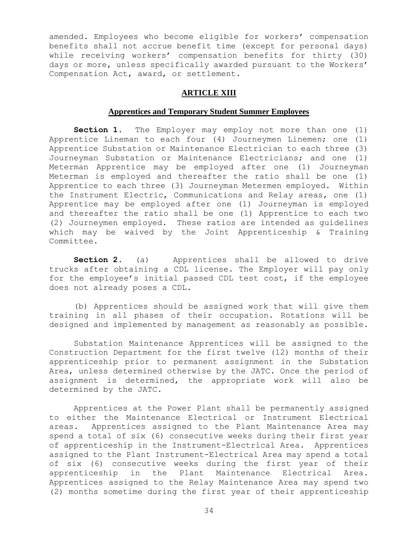amended. Employees who become eligible for workers' compensation benefits shall not accrue benefit time (except for personal days) while receiving workers' compensation benefits for thirty (30) days or more, unless specifically awarded pursuant to the Workers' Compensation Act, award, or settlement.

#### **ARTICLE XIII**

### **Apprentices and Temporary Student Summer Employees**

<span id="page-36-0"></span>**Section 1.** The Employer may employ not more than one (1) Apprentice Lineman to each four (4) Journeymen Linemen; one (1) Apprentice Substation or Maintenance Electrician to each three (3) Journeyman Substation or Maintenance Electricians; and one (1) Meterman Apprentice may be employed after one (1) Journeyman Meterman is employed and thereafter the ratio shall be one (1) Apprentice to each three (3) Journeyman Metermen employed. Within the Instrument Electric, Communications and Relay areas, one (1) Apprentice may be employed after one (1) Journeyman is employed and thereafter the ratio shall be one (1) Apprentice to each two (2) Journeymen employed. These ratios are intended as guidelines which may be waived by the Joint Apprenticeship & Training Committee.

**Section 2.** (a) Apprentices shall be allowed to drive trucks after obtaining a CDL license. The Employer will pay only for the employee's initial passed CDL test cost, if the employee does not already poses a CDL.

(b) Apprentices should be assigned work that will give them training in all phases of their occupation. Rotations will be designed and implemented by management as reasonably as possible.

Substation Maintenance Apprentices will be assigned to the Construction Department for the first twelve (12) months of their apprenticeship prior to permanent assignment in the Substation Area, unless determined otherwise by the JATC. Once the period of assignment is determined, the appropriate work will also be determined by the JATC.

Apprentices at the Power Plant shall be permanently assigned to either the Maintenance Electrical or Instrument Electrical areas. Apprentices assigned to the Plant Maintenance Area may spend a total of six (6) consecutive weeks during their first year of apprenticeship in the Instrument-Electrical Area. Apprentices assigned to the Plant Instrument-Electrical Area may spend a total of six (6) consecutive weeks during the first year of their apprenticeship in the Plant Maintenance Electrical Area. Apprentices assigned to the Relay Maintenance Area may spend two (2) months sometime during the first year of their apprenticeship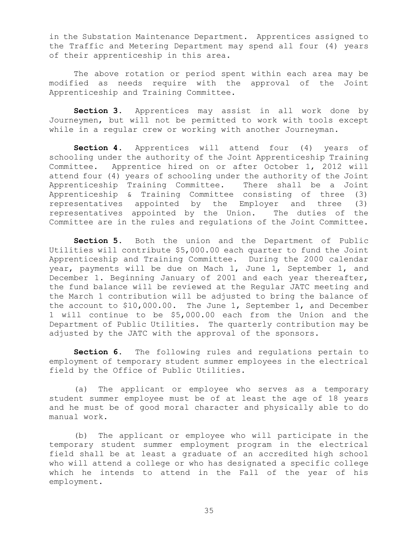in the Substation Maintenance Department. Apprentices assigned to the Traffic and Metering Department may spend all four (4) years of their apprenticeship in this area.

The above rotation or period spent within each area may be modified as needs require with the approval of the Joint Apprenticeship and Training Committee.

**Section 3.** Apprentices may assist in all work done by Journeymen, but will not be permitted to work with tools except while in a regular crew or working with another Journeyman.

**Section 4.** Apprentices will attend four (4) years of schooling under the authority of the Joint Apprenticeship Training Committee. Apprentice hired on or after October 1, 2012 will attend four (4) years of schooling under the authority of the Joint Apprenticeship Training Committee. There shall be a Joint Apprenticeship & Training Committee consisting of three (3) representatives appointed by the Employer and three (3) representatives appointed by the Union. The duties of the Committee are in the rules and regulations of the Joint Committee.

**Section 5.** Both the union and the Department of Public Utilities will contribute \$5,000.00 each quarter to fund the Joint Apprenticeship and Training Committee. During the 2000 calendar year, payments will be due on Mach 1, June 1, September 1, and December 1. Beginning January of 2001 and each year thereafter, the fund balance will be reviewed at the Regular JATC meeting and the March 1 contribution will be adjusted to bring the balance of the account to \$10,000.00. The June 1, September 1, and December 1 will continue to be \$5,000.00 each from the Union and the Department of Public Utilities. The quarterly contribution may be adjusted by the JATC with the approval of the sponsors.

**Section 6.** The following rules and regulations pertain to employment of temporary student summer employees in the electrical field by the Office of Public Utilities.

(a) The applicant or employee who serves as a temporary student summer employee must be of at least the age of 18 years and he must be of good moral character and physically able to do manual work.

(b) The applicant or employee who will participate in the temporary student summer employment program in the electrical field shall be at least a graduate of an accredited high school who will attend a college or who has designated a specific college which he intends to attend in the Fall of the year of his employment.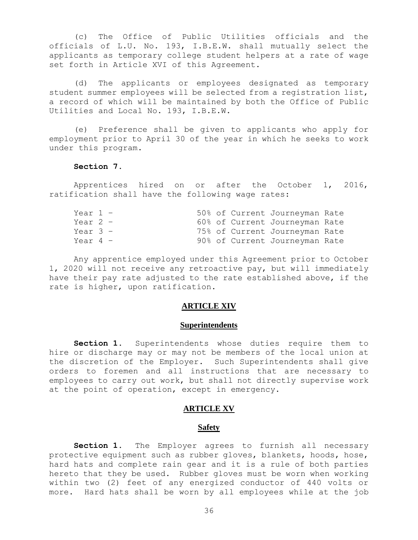(c) The Office of Public Utilities officials and the officials of L.U. No. 193, I.B.E.W. shall mutually select the applicants as temporary college student helpers at a rate of wage set forth in Article XVI of this Agreement.

(d) The applicants or employees designated as temporary student summer employees will be selected from a registration list, a record of which will be maintained by both the Office of Public Utilities and Local No. 193, I.B.E.W.

(e) Preference shall be given to applicants who apply for employment prior to April 30 of the year in which he seeks to work under this program.

#### **Section 7**.

Apprentices hired on or after the October 1, 2016, ratification shall have the following wage rates:

| Year 1 -   |  |  | 50% of Current Journeyman Rate |  |
|------------|--|--|--------------------------------|--|
| Year 2 -   |  |  | 60% of Current Journeyman Rate |  |
| Year $3 -$ |  |  | 75% of Current Journeyman Rate |  |
| Year 4 -   |  |  | 90% of Current Journeyman Rate |  |

Any apprentice employed under this Agreement prior to October 1, 2020 will not receive any retroactive pay, but will immediately have their pay rate adjusted to the rate established above, if the rate is higher, upon ratification.

#### **ARTICLE XIV**

#### **Superintendents**

<span id="page-38-0"></span>**Section 1.** Superintendents whose duties require them to hire or discharge may or may not be members of the local union at the discretion of the Employer. Such Superintendents shall give orders to foremen and all instructions that are necessary to employees to carry out work, but shall not directly supervise work at the point of operation, except in emergency.

#### **ARTICLE XV**

#### **Safety**

<span id="page-38-1"></span>**Section 1.** The Employer agrees to furnish all necessary protective equipment such as rubber gloves, blankets, hoods, hose, hard hats and complete rain gear and it is a rule of both parties hereto that they be used. Rubber gloves must be worn when working within two (2) feet of any energized conductor of 440 volts or more. Hard hats shall be worn by all employees while at the job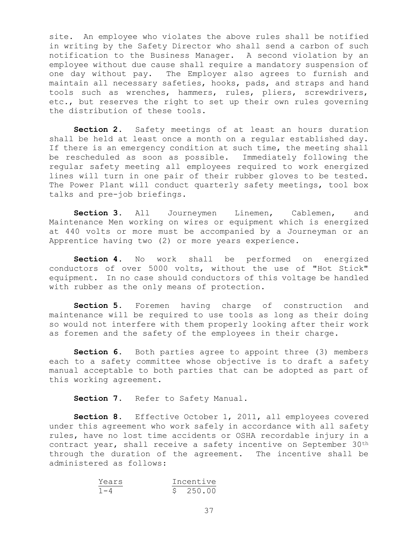site. An employee who violates the above rules shall be notified in writing by the Safety Director who shall send a carbon of such notification to the Business Manager. A second violation by an employee without due cause shall require a mandatory suspension of one day without pay. The Employer also agrees to furnish and maintain all necessary safeties, hooks, pads, and straps and hand tools such as wrenches, hammers, rules, pliers, screwdrivers, etc., but reserves the right to set up their own rules governing the distribution of these tools.

**Section 2.** Safety meetings of at least an hours duration shall be held at least once a month on a regular established day. If there is an emergency condition at such time, the meeting shall be rescheduled as soon as possible. Immediately following the regular safety meeting all employees required to work energized lines will turn in one pair of their rubber gloves to be tested. The Power Plant will conduct quarterly safety meetings, tool box talks and pre-job briefings.

**Section 3.** All Journeymen Linemen, Cablemen, and Maintenance Men working on wires or equipment which is energized at 440 volts or more must be accompanied by a Journeyman or an Apprentice having two (2) or more years experience.

**Section 4.** No work shall be performed on energized conductors of over 5000 volts, without the use of "Hot Stick" equipment. In no case should conductors of this voltage be handled with rubber as the only means of protection.

**Section 5.** Foremen having charge of construction and maintenance will be required to use tools as long as their doing so would not interfere with them properly looking after their work as foremen and the safety of the employees in their charge.

**Section 6.** Both parties agree to appoint three (3) members each to a safety committee whose objective is to draft a safety manual acceptable to both parties that can be adopted as part of this working agreement.

**Section 7.** Refer to Safety Manual.

**Section 8.** Effective October 1, 2011, all employees covered under this agreement who work safely in accordance with all safety rules, have no lost time accidents or OSHA recordable injury in a contract year, shall receive a safety incentive on September 30th through the duration of the agreement. The incentive shall be administered as follows:

| Years   |  | Incentive |
|---------|--|-----------|
| $1 - 4$ |  | \$250.00  |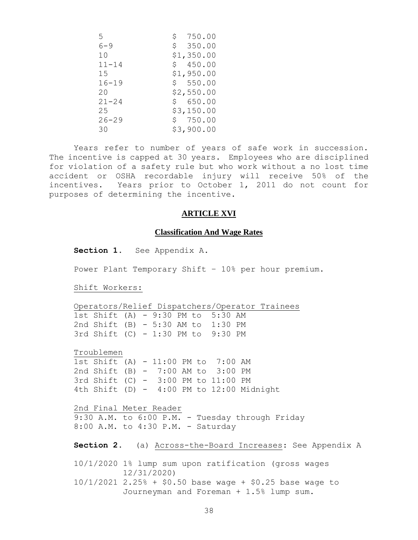| 5.        | \$<br>750.00 |
|-----------|--------------|
| $6 - 9$   | \$350.00     |
| 10        | \$1,350.00   |
| $11 - 14$ | \$450.00     |
| 15        | \$1,950.00   |
| $16 - 19$ | \$550.00     |
| 20        | \$2,550.00   |
| $21 - 24$ | \$650.00     |
| 25        | \$3,150.00   |
| $26 - 29$ | \$750.00     |
| 30        | \$3,900.00   |

Years refer to number of years of safe work in succession. The incentive is capped at 30 years. Employees who are disciplined for violation of a safety rule but who work without a no lost time accident or OSHA recordable injury will receive 50% of the incentives. Years prior to October 1, 2011 do not count for purposes of determining the incentive.

## **ARTICLE XVI**

#### **Classification And Wage Rates**

<span id="page-40-0"></span>**Section 1.** See Appendix A.

Power Plant Temporary Shift – 10% per hour premium.

Shift Workers:

Operators/Relief Dispatchers/Operator Trainees 1st Shift (A) - 9:30 PM to 5:30 AM 2nd Shift (B) - 5:30 AM to 1:30 PM 3rd Shift (C) - 1:30 PM to 9:30 PM

Troublemen 1st Shift (A) - 11:00 PM to 7:00 AM 2nd Shift (B) - 7:00 AM to 3:00 PM 3rd Shift (C) - 3:00 PM to 11:00 PM 4th Shift  $(D)$  - 4:00 PM to 12:00 Midnight

2nd Final Meter Reader 9:30 A.M. to 6:00 P.M. - Tuesday through Friday 8:00 A.M. to 4:30 P.M. - Saturday

**Section 2.** (a) Across-the-Board Increases: See Appendix A

10/1/2020 1% lump sum upon ratification (gross wages 12/31/2020) 10/1/2021 2.25% + \$0.50 base wage + \$0.25 base wage to

Journeyman and Foreman + 1.5% lump sum.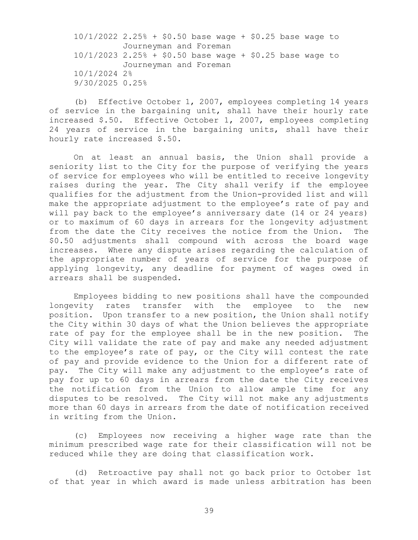10/1/2022 2.25% + \$0.50 base wage + \$0.25 base wage to Journeyman and Foreman 10/1/2023 2.25% + \$0.50 base wage + \$0.25 base wage to Journeyman and Foreman 10/1/2024 2% 9/30/2025 0.25%

(b) Effective October 1, 2007, employees completing 14 years of service in the bargaining unit, shall have their hourly rate increased \$.50. Effective October 1, 2007, employees completing 24 years of service in the bargaining units, shall have their hourly rate increased \$.50.

On at least an annual basis, the Union shall provide a seniority list to the City for the purpose of verifying the years of service for employees who will be entitled to receive longevity raises during the year. The City shall verify if the employee qualifies for the adjustment from the Union-provided list and will make the appropriate adjustment to the employee's rate of pay and will pay back to the employee's anniversary date (14 or 24 years) or to maximum of 60 days in arrears for the longevity adjustment from the date the City receives the notice from the Union. The \$0.50 adjustments shall compound with across the board wage increases. Where any dispute arises regarding the calculation of the appropriate number of years of service for the purpose of applying longevity, any deadline for payment of wages owed in arrears shall be suspended.

Employees bidding to new positions shall have the compounded longevity rates transfer with the employee to the new position. Upon transfer to a new position, the Union shall notify the City within 30 days of what the Union believes the appropriate rate of pay for the employee shall be in the new position. The City will validate the rate of pay and make any needed adjustment to the employee's rate of pay, or the City will contest the rate of pay and provide evidence to the Union for a different rate of pay. The City will make any adjustment to the employee's rate of pay for up to 60 days in arrears from the date the City receives the notification from the Union to allow ample time for any disputes to be resolved. The City will not make any adjustments more than 60 days in arrears from the date of notification received in writing from the Union.

(c) Employees now receiving a higher wage rate than the minimum prescribed wage rate for their classification will not be reduced while they are doing that classification work.

(d) Retroactive pay shall not go back prior to October 1st of that year in which award is made unless arbitration has been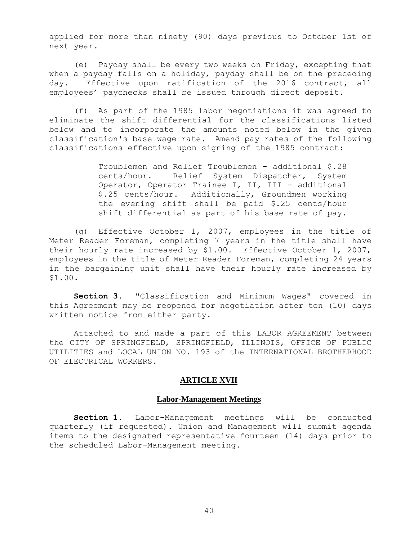applied for more than ninety (90) days previous to October 1st of next year.

(e) Payday shall be every two weeks on Friday, excepting that when a payday falls on a holiday, payday shall be on the preceding day. Effective upon ratification of the 2016 contract, all employees' paychecks shall be issued through direct deposit.

(f) As part of the 1985 labor negotiations it was agreed to eliminate the shift differential for the classifications listed below and to incorporate the amounts noted below in the given classification's base wage rate. Amend pay rates of the following classifications effective upon signing of the 1985 contract:

> Troublemen and Relief Troublemen - additional \$.28 cents/hour. Relief System Dispatcher, System Operator, Operator Trainee I, II, III - additional \$.25 cents/hour. Additionally, Groundmen working the evening shift shall be paid \$.25 cents/hour shift differential as part of his base rate of pay.

(g) Effective October 1, 2007, employees in the title of Meter Reader Foreman, completing 7 years in the title shall have their hourly rate increased by \$1.00. Effective October 1, 2007, employees in the title of Meter Reader Foreman, completing 24 years in the bargaining unit shall have their hourly rate increased by \$1.00.

**Section 3.** "Classification and Minimum Wages" covered in this Agreement may be reopened for negotiation after ten (10) days written notice from either party.

Attached to and made a part of this LABOR AGREEMENT between the CITY OF SPRINGFIELD, SPRINGFIELD, ILLINOIS, OFFICE OF PUBLIC UTILITIES and LOCAL UNION NO. 193 of the INTERNATIONAL BROTHERHOOD OF ELECTRICAL WORKERS.

## **ARTICLE XVII**

#### **Labor-Management Meetings**

<span id="page-42-0"></span>**Section 1.** Labor-Management meetings will be conducted quarterly (if requested). Union and Management will submit agenda items to the designated representative fourteen (14) days prior to the scheduled Labor-Management meeting.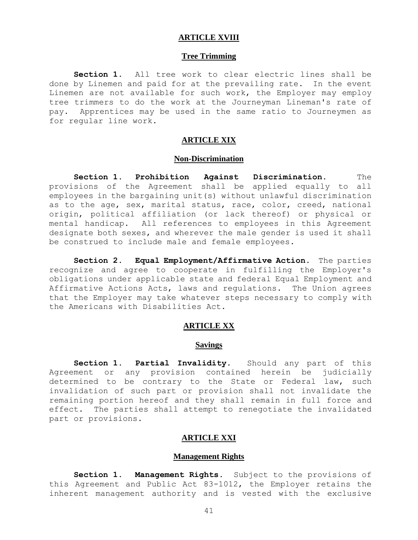#### **ARTICLE XVIII**

#### **Tree Trimming**

<span id="page-43-0"></span>**Section 1.** All tree work to clear electric lines shall be done by Linemen and paid for at the prevailing rate. In the event Linemen are not available for such work, the Employer may employ tree trimmers to do the work at the Journeyman Lineman's rate of pay. Apprentices may be used in the same ratio to Journeymen as for regular line work.

## **ARTICLE XIX**

#### **Non-Discrimination**

<span id="page-43-1"></span>**Section 1. Prohibition Against Discrimination.** The provisions of the Agreement shall be applied equally to all employees in the bargaining unit(s) without unlawful discrimination as to the age, sex, marital status, race, color, creed, national origin, political affiliation (or lack thereof) or physical or mental handicap. All references to employees in this Agreement designate both sexes, and wherever the male gender is used it shall be construed to include male and female employees.

**Section 2. Equal Employment/Affirmative Action.** The parties recognize and agree to cooperate in fulfilling the Employer's obligations under applicable state and federal Equal Employment and Affirmative Actions Acts, laws and regulations. The Union agrees that the Employer may take whatever steps necessary to comply with the Americans with Disabilities Act.

## **ARTICLE XX**

## **Savings**

<span id="page-43-2"></span>**Section 1. Partial Invalidity.** Should any part of this Agreement or any provision contained herein be judicially determined to be contrary to the State or Federal law, such invalidation of such part or provision shall not invalidate the remaining portion hereof and they shall remain in full force and effect. The parties shall attempt to renegotiate the invalidated part or provisions.

#### **ARTICLE XXI**

#### **Management Rights**

<span id="page-43-3"></span>**Section 1. Management Rights.** Subject to the provisions of this Agreement and Public Act 83-1012, the Employer retains the inherent management authority and is vested with the exclusive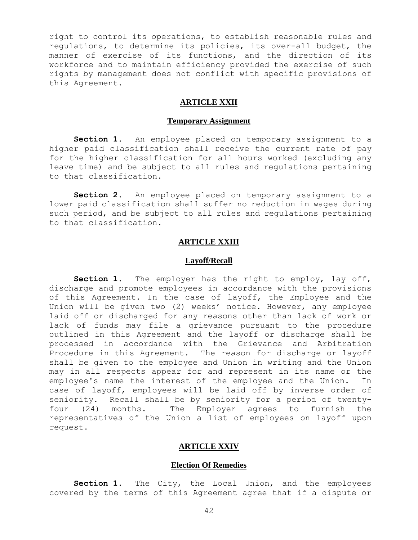right to control its operations, to establish reasonable rules and regulations, to determine its policies, its over-all budget, the manner of exercise of its functions, and the direction of its workforce and to maintain efficiency provided the exercise of such rights by management does not conflict with specific provisions of this Agreement.

## **ARTICLE XXII**

#### **Temporary Assignment**

<span id="page-44-0"></span>Section 1. An employee placed on temporary assignment to a higher paid classification shall receive the current rate of pay for the higher classification for all hours worked (excluding any leave time) and be subject to all rules and regulations pertaining to that classification.

**Section 2.** An employee placed on temporary assignment to a lower paid classification shall suffer no reduction in wages during such period, and be subject to all rules and regulations pertaining to that classification.

## **ARTICLE XXIII**

#### **Layoff/Recall**

<span id="page-44-1"></span>**Section 1.** The employer has the right to employ, lay off, discharge and promote employees in accordance with the provisions of this Agreement. In the case of layoff, the Employee and the Union will be given two (2) weeks' notice. However, any employee laid off or discharged for any reasons other than lack of work or lack of funds may file a grievance pursuant to the procedure outlined in this Agreement and the layoff or discharge shall be processed in accordance with the Grievance and Arbitration Procedure in this Agreement. The reason for discharge or layoff shall be given to the employee and Union in writing and the Union may in all respects appear for and represent in its name or the employee's name the interest of the employee and the Union. In case of layoff, employees will be laid off by inverse order of seniority. Recall shall be by seniority for a period of twentyfour (24) months. The Employer agrees to furnish the representatives of the Union a list of employees on layoff upon request.

## **ARTICLE XXIV**

## **Election Of Remedies**

<span id="page-44-2"></span>**Section 1.** The City, the Local Union, and the employees covered by the terms of this Agreement agree that if a dispute or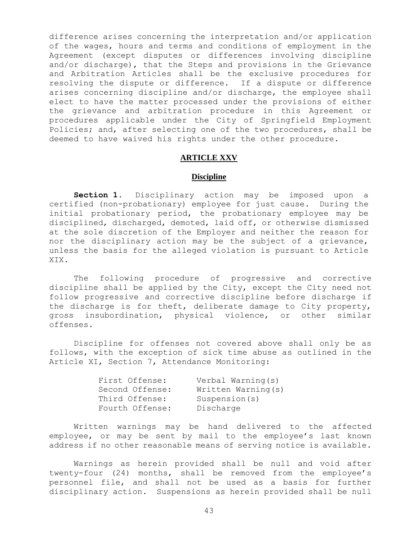difference arises concerning the interpretation and/or application of the wages, hours and terms and conditions of employment in the Agreement (except disputes or differences involving discipline and/or discharge), that the Steps and provisions in the Grievance and Arbitration Articles shall be the exclusive procedures for resolving the dispute or difference. If a dispute or difference arises concerning discipline and/or discharge, the employee shall elect to have the matter processed under the provisions of either the grievance and arbitration procedure in this Agreement or procedures applicable under the City of Springfield Employment Policies; and, after selecting one of the two procedures, shall be deemed to have waived his rights under the other procedure.

#### **ARTICLE XXV**

#### **Discipline**

<span id="page-45-0"></span>**Section 1.** Disciplinary action may be imposed upon a certified (non-probationary) employee for just cause. During the initial probationary period, the probationary employee may be disciplined, discharged, demoted, laid off, or otherwise dismissed at the sole discretion of the Employer and neither the reason for nor the disciplinary action may be the subject of a grievance, unless the basis for the alleged violation is pursuant to Article XIX.

The following procedure of progressive and corrective discipline shall be applied by the City, except the City need not follow progressive and corrective discipline before discharge if the discharge is for theft, deliberate damage to City property, gross insubordination, physical violence, or other similar offenses.

Discipline for offenses not covered above shall only be as follows, with the exception of sick time abuse as outlined in the Article XI, Section 7, Attendance Monitoring:

| First Offense:  | Verbal Warning(s)   |
|-----------------|---------------------|
| Second Offense: | Written Warning (s) |
| Third Offense:  | Suspension(s)       |
| Fourth Offense: | Discharge           |

Written warnings may be hand delivered to the affected employee, or may be sent by mail to the employee's last known address if no other reasonable means of serving notice is available.

Warnings as herein provided shall be null and void after twenty-four (24) months, shall be removed from the employee's personnel file, and shall not be used as a basis for further disciplinary action. Suspensions as herein provided shall be null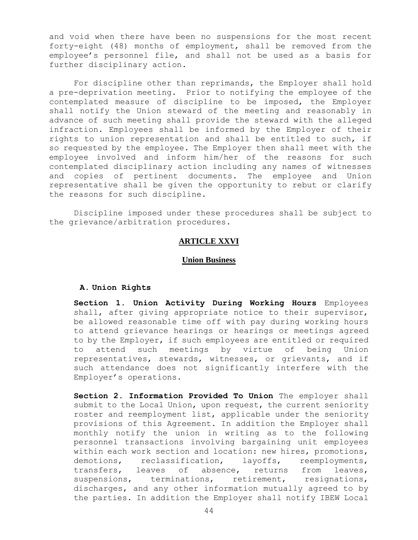and void when there have been no suspensions for the most recent forty-eight (48) months of employment, shall be removed from the employee's personnel file, and shall not be used as a basis for further disciplinary action.

For discipline other than reprimands, the Employer shall hold a pre-deprivation meeting. Prior to notifying the employee of the contemplated measure of discipline to be imposed, the Employer shall notify the Union steward of the meeting and reasonably in advance of such meeting shall provide the steward with the alleged infraction. Employees shall be informed by the Employer of their rights to union representation and shall be entitled to such, if so requested by the employee. The Employer then shall meet with the employee involved and inform him/her of the reasons for such contemplated disciplinary action including any names of witnesses and copies of pertinent documents. The employee and Union representative shall be given the opportunity to rebut or clarify the reasons for such discipline.

<span id="page-46-0"></span>Discipline imposed under these procedures shall be subject to the grievance/arbitration procedures.

## **ARTICLE XXVI**

#### **Union Business**

#### **A. Union Rights**

**Section 1. Union Activity During Working Hours** Employees shall, after giving appropriate notice to their supervisor, be allowed reasonable time off with pay during working hours to attend grievance hearings or hearings or meetings agreed to by the Employer, if such employees are entitled or required to attend such meetings by virtue of being Union representatives, stewards, witnesses, or grievants, and if such attendance does not significantly interfere with the Employer's operations.

**Section 2. Information Provided To Union** The employer shall submit to the Local Union, upon request, the current seniority roster and reemployment list, applicable under the seniority provisions of this Agreement. In addition the Employer shall monthly notify the union in writing as to the following personnel transactions involving bargaining unit employees within each work section and location: new hires, promotions, demotions, reclassification, layoffs, reemployments, transfers, leaves of absence, returns from leaves, suspensions, terminations, retirement, resignations, discharges, and any other information mutually agreed to by the parties. In addition the Employer shall notify IBEW Local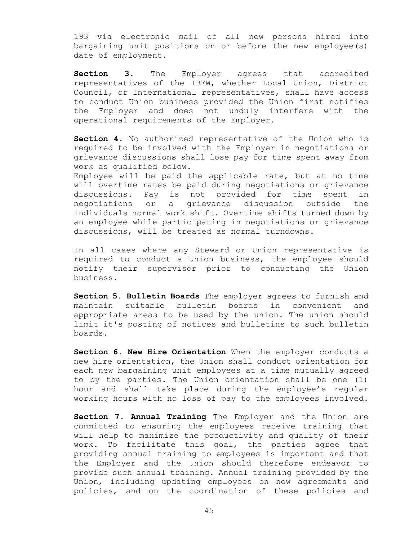193 via electronic mail of all new persons hired into bargaining unit positions on or before the new employee(s) date of employment.

**Section 3.** The Employer agrees that accredited representatives of the IBEW, whether Local Union, District Council, or International representatives, shall have access to conduct Union business provided the Union first notifies the Employer and does not unduly interfere with the operational requirements of the Employer.

**Section 4**. No authorized representative of the Union who is required to be involved with the Employer in negotiations or grievance discussions shall lose pay for time spent away from work as qualified below.

Employee will be paid the applicable rate, but at no time will overtime rates be paid during negotiations or grievance discussions. Pay is not provided for time spent in negotiations or a grievance discussion outside the individuals normal work shift. Overtime shifts turned down by an employee while participating in negotiations or grievance discussions, will be treated as normal turndowns.

In all cases where any Steward or Union representative is required to conduct a Union business, the employee should notify their supervisor prior to conducting the Union business.

**Section 5**. **Bulletin Boards** The employer agrees to furnish and maintain suitable bulletin boards in convenient and appropriate areas to be used by the union. The union should limit it's posting of notices and bulletins to such bulletin boards.

**Section 6. New Hire Orientation** When the employer conducts a new hire orientation, the Union shall conduct orientation for each new bargaining unit employees at a time mutually agreed to by the parties. The Union orientation shall be one (1) hour and shall take place during the employee's regular working hours with no loss of pay to the employees involved.

**Section 7. Annual Training** The Employer and the Union are committed to ensuring the employees receive training that will help to maximize the productivity and quality of their work. To facilitate this goal, the parties agree that providing annual training to employees is important and that the Employer and the Union should therefore endeavor to provide such annual training. Annual training provided by the Union, including updating employees on new agreements and policies, and on the coordination of these policies and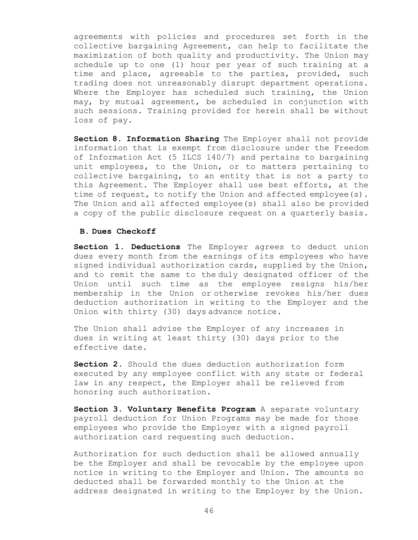agreements with policies and procedures set forth in the collective bargaining Agreement, can help to facilitate the maximization of both quality and productivity. The Union may schedule up to one (1) hour per year of such training at a time and place, agreeable to the parties, provided, such trading does not unreasonably disrupt department operations. Where the Employer has scheduled such training, the Union may, by mutual agreement, be scheduled in conjunction with such sessions. Training provided for herein shall be without loss of pay.

**Section 8. Information Sharing** The Employer shall not provide information that is exempt from disclosure under the Freedom of Information Act (5 ILCS 140/7) and pertains to bargaining unit employees, to the Union, or to matters pertaining to collective bargaining, to an entity that is not a party to this Agreement. The Employer shall use best efforts, at the time of request, to notify the Union and affected employee(s). The Union and all affected employee(s) shall also be provided a copy of the public disclosure request on a quarterly basis.

#### **B. Dues Checkoff**

**Section 1. Deductions** The Employer agrees to deduct union dues every month from the earnings of its employees who have signed individual authorization cards, supplied by the Union, and to remit the same to the duly designated officer of the Union until such time as the employee resigns his/her membership in the Union or otherwise revokes his/her dues deduction authorization in writing to the Employer and the Union with thirty (30) days advance notice.

The Union shall advise the Employer of any increases in dues in writing at least thirty (30) days prior to the effective date.

**Section 2.** Should the dues deduction authorization form executed by any employee conflict with any state or federal law in any respect, the Employer shall be relieved from honoring such authorization.

**Section 3. Voluntary Benefits Program** A separate voluntary payroll deduction for Union Programs may be made for those employees who provide the Employer with a signed payroll authorization card requesting such deduction.

Authorization for such deduction shall be allowed annually be the Employer and shall be revocable by the employee upon notice in writing to the Employer and Union. The amounts so deducted shall be forwarded monthly to the Union at the address designated in writing to the Employer by the Union.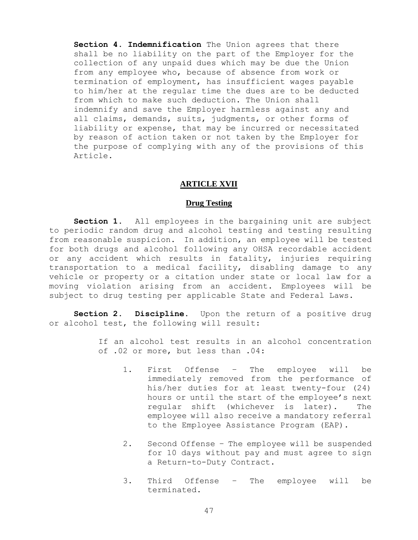**Section 4. Indemnification** The Union agrees that there shall be no liability on the part of the Employer for the collection of any unpaid dues which may be due the Union from any employee who, because of absence from work or termination of employment, has insufficient wages payable to him/her at the regular time the dues are to be deducted from which to make such deduction. The Union shall indemnify and save the Employer harmless against any and all claims, demands, suits, judgments, or other forms of liability or expense, that may be incurred or necessitated by reason of action taken or not taken by the Employer for the purpose of complying with any of the provisions of this Article.

#### **ARTICLE XVII**

#### **Drug Testing**

<span id="page-49-0"></span>**Section 1.** All employees in the bargaining unit are subject to periodic random drug and alcohol testing and testing resulting from reasonable suspicion. In addition, an employee will be tested for both drugs and alcohol following any OHSA recordable accident or any accident which results in fatality, injuries requiring transportation to a medical facility, disabling damage to any vehicle or property or a citation under state or local law for a moving violation arising from an accident. Employees will be subject to drug testing per applicable State and Federal Laws.

**Section 2. Discipline.** Upon the return of a positive drug or alcohol test, the following will result:

> If an alcohol test results in an alcohol concentration of .02 or more, but less than .04:

- 1. First Offense The employee will be immediately removed from the performance of his/her duties for at least twenty-four (24) hours or until the start of the employee's next regular shift (whichever is later). The employee will also receive a mandatory referral to the Employee Assistance Program (EAP).
- 2. Second Offense The employee will be suspended for 10 days without pay and must agree to sign a Return-to-Duty Contract.
- 3. Third Offense The employee will be terminated.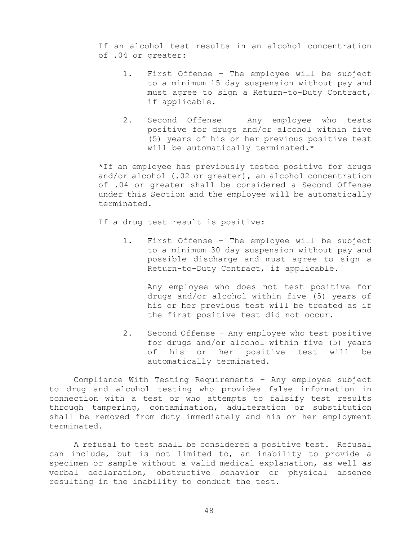If an alcohol test results in an alcohol concentration of .04 or greater:

- 1. First Offense The employee will be subject to a minimum 15 day suspension without pay and must agree to sign a Return-to-Duty Contract, if applicable.
- 2. Second Offense Any employee who tests positive for drugs and/or alcohol within five (5) years of his or her previous positive test will be automatically terminated.\*

\*If an employee has previously tested positive for drugs and/or alcohol (.02 or greater), an alcohol concentration of .04 or greater shall be considered a Second Offense under this Section and the employee will be automatically terminated.

If a drug test result is positive:

1. First Offense – The employee will be subject to a minimum 30 day suspension without pay and possible discharge and must agree to sign a Return-to-Duty Contract, if applicable.

Any employee who does not test positive for drugs and/or alcohol within five (5) years of his or her previous test will be treated as if the first positive test did not occur.

2. Second Offense – Any employee who test positive for drugs and/or alcohol within five (5) years of his or her positive test will be automatically terminated.

Compliance With Testing Requirements – Any employee subject to drug and alcohol testing who provides false information in connection with a test or who attempts to falsify test results through tampering, contamination, adulteration or substitution shall be removed from duty immediately and his or her employment terminated.

A refusal to test shall be considered a positive test. Refusal can include, but is not limited to, an inability to provide a specimen or sample without a valid medical explanation, as well as verbal declaration, obstructive behavior or physical absence resulting in the inability to conduct the test.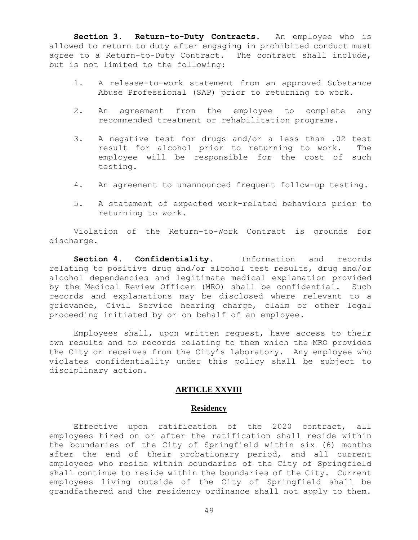**Section 3. Return-to-Duty Contracts.** An employee who is allowed to return to duty after engaging in prohibited conduct must agree to a Return-to-Duty Contract. The contract shall include, but is not limited to the following:

- 1. A release-to-work statement from an approved Substance Abuse Professional (SAP) prior to returning to work.
- 2. An agreement from the employee to complete any recommended treatment or rehabilitation programs.
- 3. A negative test for drugs and/or a less than .02 test result for alcohol prior to returning to work. The employee will be responsible for the cost of such testing.
- 4. An agreement to unannounced frequent follow-up testing.
- 5. A statement of expected work-related behaviors prior to returning to work.

Violation of the Return-to-Work Contract is grounds for discharge.

**Section 4. Confidentiality.** Information and records relating to positive drug and/or alcohol test results, drug and/or alcohol dependencies and legitimate medical explanation provided by the Medical Review Officer (MRO) shall be confidential. Such records and explanations may be disclosed where relevant to a grievance, Civil Service hearing charge, claim or other legal proceeding initiated by or on behalf of an employee.

Employees shall, upon written request, have access to their own results and to records relating to them which the MRO provides the City or receives from the City's laboratory. Any employee who violates confidentiality under this policy shall be subject to disciplinary action.

## **ARTICLE XXVIII**

#### **Residency**

<span id="page-51-0"></span>Effective upon ratification of the 2020 contract, all employees hired on or after the ratification shall reside within the boundaries of the City of Springfield within six (6) months after the end of their probationary period, and all current employees who reside within boundaries of the City of Springfield shall continue to reside within the boundaries of the City. Current employees living outside of the City of Springfield shall be grandfathered and the residency ordinance shall not apply to them.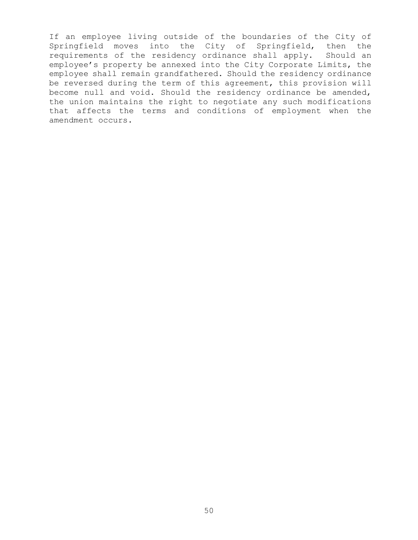If an employee living outside of the boundaries of the City of Springfield moves into the City of Springfield, then the requirements of the residency ordinance shall apply. Should an employee's property be annexed into the City Corporate Limits, the employee shall remain grandfathered. Should the residency ordinance be reversed during the term of this agreement, this provision will become null and void. Should the residency ordinance be amended, the union maintains the right to negotiate any such modifications that affects the terms and conditions of employment when the amendment occurs.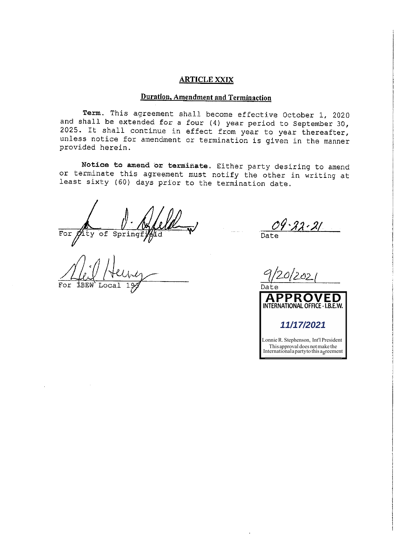#### **ARTICLE XXIX**

## **Duration, Amendment and Terminaction**

Term. This agreement shall become effective October 1, 2020 and shall be extended for a four (4) year period to September 30, 2025. It shall continue in effect from year to year thereafter, unless notice for amendment or termination is given in the manner provided herein.

Notice to amend or terminate. Either party desiring to amend or terminate this agreement must notify the other in writing at least sixty (60) days prior to the termination date.

For  $\operatorname{\mathscr{D}\!\!\!\!\!\!\!}/\operatorname{ity}$  of Springf

For

 $\overline{Date}$ 

בוז בא Date **APPROVED** INTERNATIONAL OFFICE - I.B.E.W. 11/17/2021 Lonnie R. Stephenson, Int'l President This approval does not make the<br>International a party to this agreement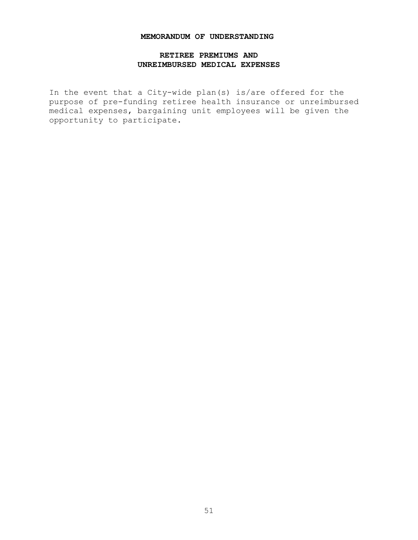#### **MEMORANDUM OF UNDERSTANDING**

## **RETIREE PREMIUMS AND UNREIMBURSED MEDICAL EXPENSES**

<span id="page-54-0"></span>In the event that a City-wide plan(s) is/are offered for the purpose of pre-funding retiree health insurance or unreimbursed medical expenses, bargaining unit employees will be given the opportunity to participate.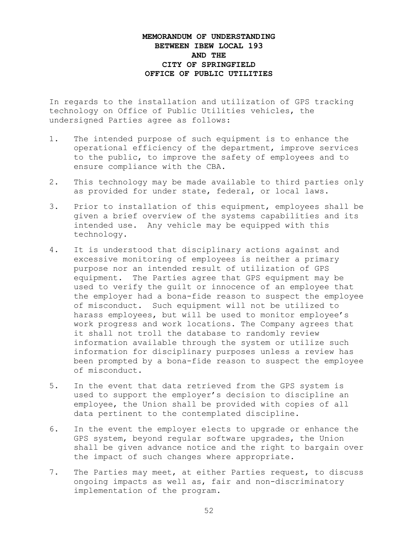## **MEMORANDUM OF UNDERSTANDING BETWEEN IBEW LOCAL 193 AND THE CITY OF SPRINGFIELD OFFICE OF PUBLIC UTILITIES**

In regards to the installation and utilization of GPS tracking technology on Office of Public Utilities vehicles, the undersigned Parties agree as follows:

- 1. The intended purpose of such equipment is to enhance the operational efficiency of the department, improve services to the public, to improve the safety of employees and to ensure compliance with the CBA.
- 2. This technology may be made available to third parties only as provided for under state, federal, or local laws.
- 3. Prior to installation of this equipment, employees shall be given a brief overview of the systems capabilities and its intended use. Any vehicle may be equipped with this technology.
- 4. It is understood that disciplinary actions against and excessive monitoring of employees is neither a primary purpose nor an intended result of utilization of GPS equipment. The Parties agree that GPS equipment may be used to verify the guilt or innocence of an employee that the employer had a bona-fide reason to suspect the employee of misconduct. Such equipment will not be utilized to harass employees, but will be used to monitor employee's work progress and work locations. The Company agrees that it shall not troll the database to randomly review information available through the system or utilize such information for disciplinary purposes unless a review has been prompted by a bona-fide reason to suspect the employee of misconduct.
- 5. In the event that data retrieved from the GPS system is used to support the employer's decision to discipline an employee, the Union shall be provided with copies of all data pertinent to the contemplated discipline.
- 6. In the event the employer elects to upgrade or enhance the GPS system, beyond regular software upgrades, the Union shall be given advance notice and the right to bargain over the impact of such changes where appropriate.
- 7. The Parties may meet, at either Parties request, to discuss ongoing impacts as well as, fair and non-discriminatory implementation of the program.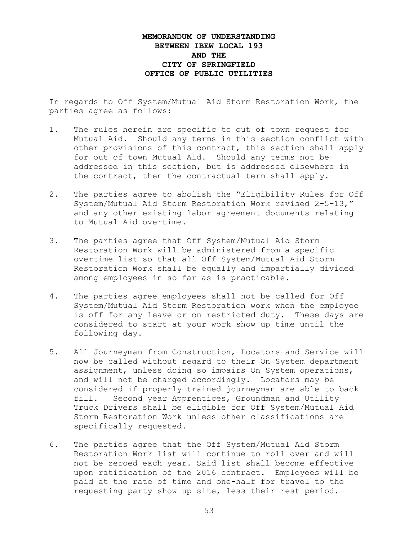## **MEMORANDUM OF UNDERSTANDING BETWEEN IBEW LOCAL 193 AND THE CITY OF SPRINGFIELD OFFICE OF PUBLIC UTILITIES**

In regards to Off System/Mutual Aid Storm Restoration Work, the parties agree as follows:

- 1. The rules herein are specific to out of town request for Mutual Aid. Should any terms in this section conflict with other provisions of this contract, this section shall apply for out of town Mutual Aid. Should any terms not be addressed in this section, but is addressed elsewhere in the contract, then the contractual term shall apply.
- 2. The parties agree to abolish the "Eligibility Rules for Off System/Mutual Aid Storm Restoration Work revised 2-5-13," and any other existing labor agreement documents relating to Mutual Aid overtime.
- 3. The parties agree that Off System/Mutual Aid Storm Restoration Work will be administered from a specific overtime list so that all Off System/Mutual Aid Storm Restoration Work shall be equally and impartially divided among employees in so far as is practicable.
- 4. The parties agree employees shall not be called for Off System/Mutual Aid Storm Restoration work when the employee is off for any leave or on restricted duty. These days are considered to start at your work show up time until the following day.
- 5. All Journeyman from Construction, Locators and Service will now be called without regard to their On System department assignment, unless doing so impairs On System operations, and will not be charged accordingly. Locators may be considered if properly trained journeyman are able to back fill. Second year Apprentices, Groundman and Utility Truck Drivers shall be eligible for Off System/Mutual Aid Storm Restoration Work unless other classifications are specifically requested.
- 6. The parties agree that the Off System/Mutual Aid Storm Restoration Work list will continue to roll over and will not be zeroed each year. Said list shall become effective upon ratification of the 2016 contract. Employees will be paid at the rate of time and one-half for travel to the requesting party show up site, less their rest period.